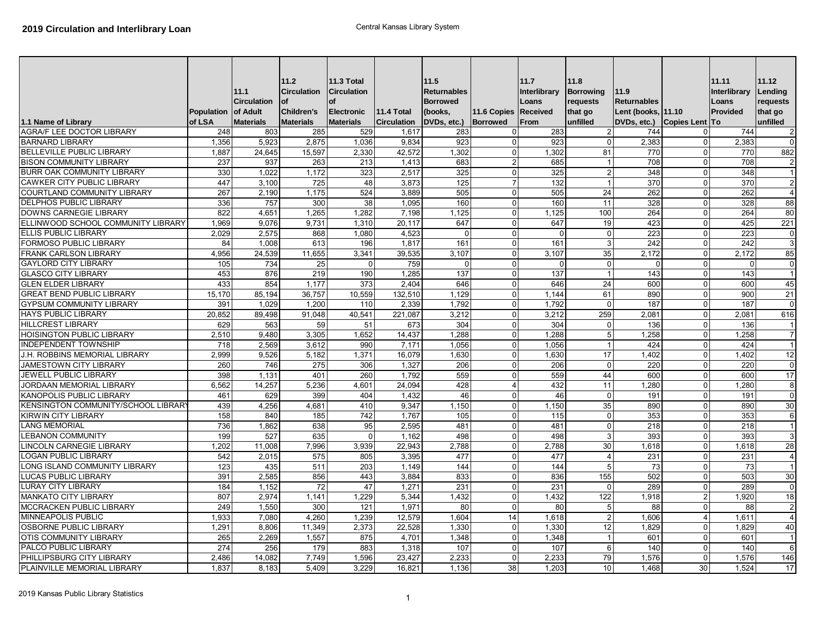| 1.1 Name of Library                 | Population of Adult<br>of LSA | 11.1<br><b>Circulation</b><br><b>Materials</b> | 11.2<br><b>Circulation</b><br><b>of</b><br><b>Children's</b><br><b>Materials</b> | 11.3 Total<br><b>Circulation</b><br><b>Electronic</b><br><b>Materials</b> | <b>11.4 Total</b><br><b>Circulation</b> | 11.5<br><b>Returnables</b><br><b>Borrowed</b><br>(books.<br>DVDs, etc.) | 11.6 Copies Received<br><b>Borrowed</b> | 11.7<br>Interlibrary<br>Loans<br>From | 11.8<br><b>Borrowing</b><br>requests<br>that go<br>unfilled | 11.9<br>Returnables<br>Lent (books, 11.10<br>DVDs, etc.) | Copies Lent To          | 11.11<br>Interlibrary<br>Loans<br>Provided | 11.12<br>Lending<br>requests<br>that go<br>lunfilled |
|-------------------------------------|-------------------------------|------------------------------------------------|----------------------------------------------------------------------------------|---------------------------------------------------------------------------|-----------------------------------------|-------------------------------------------------------------------------|-----------------------------------------|---------------------------------------|-------------------------------------------------------------|----------------------------------------------------------|-------------------------|--------------------------------------------|------------------------------------------------------|
| AGRA/F LEE DOCTOR LIBRARY           | 248                           | 803                                            | 285                                                                              | 529                                                                       | 1,617                                   | 283                                                                     | $\Omega$                                | 283                                   | $\overline{2}$                                              | 744                                                      | 0                       | 744                                        | $\overline{2}$                                       |
| <b>BARNARD LIBRARY</b>              | 1,356                         | 5,923                                          | 2,875                                                                            | 1,036                                                                     | 9,834                                   | 923                                                                     | $\Omega$                                | 923                                   | $\Omega$                                                    | 2,383                                                    | $\mathbf 0$             | 2,383                                      | $\overline{0}$                                       |
| <b>BELLEVILLE PUBLIC LIBRARY</b>    | 1,887                         | 24,645                                         | 15,597                                                                           | 2,330                                                                     | 42,572                                  | 1,302                                                                   | $\Omega$                                | 1,302                                 | 81                                                          | 770                                                      | $\Omega$                | 770                                        | 882                                                  |
| <b>BISON COMMUNITY LIBRARY</b>      | 237                           | 937                                            | 263                                                                              | 213                                                                       | 1.413                                   | 683                                                                     | $\overline{2}$                          | 685                                   | $\overline{1}$                                              | 708                                                      | $\mathbf 0$             | 708                                        | $\mathbf 2$                                          |
| <b>BURR OAK COMMUNITY LIBRARY</b>   | 330                           | 1.022                                          | 1.172                                                                            | 323                                                                       | 2,517                                   | 325                                                                     | $\Omega$                                | 325                                   | $\overline{2}$                                              | 348                                                      | $\mathbf 0$             | 348                                        | 1                                                    |
| <b>CAWKER CITY PUBLIC LIBRARY</b>   | 447                           | 3.100                                          | 725                                                                              | 48                                                                        | 3,873                                   | 125                                                                     | $\overline{7}$                          | 132                                   | $\overline{1}$                                              | 370                                                      | $\mathbf{0}$            | 370                                        | $\overline{2}$                                       |
| <b>COURTLAND COMMUNITY LIBRARY</b>  | 267                           | 2.190                                          | 1,175                                                                            | 524                                                                       | 3,889                                   | 505                                                                     | $\Omega$                                | 505                                   | 24                                                          | 262                                                      | $\Omega$                | 262                                        | $\overline{4}$                                       |
| <b>DELPHOS PUBLIC LIBRARY</b>       | 336                           | 757                                            | 300                                                                              | 38                                                                        | 1,095                                   | 160                                                                     | $\Omega$                                | 160                                   | 11                                                          | 328                                                      | $\mathbf 0$             | 328                                        | 88                                                   |
| <b>DOWNS CARNEGIE LIBRARY</b>       | 822                           | 4.651                                          | 1.265                                                                            | 1.282                                                                     | 7.198                                   | 1.125                                                                   | $\Omega$                                | 1.125                                 | 100                                                         | 264                                                      | $\Omega$                | 264                                        | 80                                                   |
| ELLINWOOD SCHOOL COMMUNITY LIBRARY  | 1,969                         | 9.076                                          | 9,731                                                                            | 1,310                                                                     | 20,117                                  | 647                                                                     | $\Omega$                                | 647                                   | 19                                                          | 423                                                      | $\mathbf 0$             | 425                                        | 221                                                  |
| ELLIS PUBLIC LIBRARY                | 2.029                         | 2,575                                          | 868                                                                              | 1,080                                                                     | 4,523                                   | $\mathbf 0$                                                             | $\mathbf 0$                             | $\Omega$                              | $\overline{0}$                                              | 223                                                      | $\mathbf 0$             | 223                                        | $\mathbf 0$                                          |
| <b>FORMOSO PUBLIC LIBRARY</b>       | 84                            | 1,008                                          | 613                                                                              | 196                                                                       | 1,817                                   | 161                                                                     | $\Omega$                                | 161                                   | 3                                                           | 242                                                      | $\mathbf{0}$            | 242                                        | 3                                                    |
| <b>FRANK CARLSON LIBRARY</b>        | 4,956                         | 24,539                                         | 11,655                                                                           | 3,341                                                                     | 39,535                                  | 3,107                                                                   | $\Omega$                                | 3,107                                 | 35                                                          | 2,172                                                    | $\Omega$                | 2,172                                      | 85                                                   |
| <b>GAYLORD CITY LIBRARY</b>         | 105                           | 734                                            | 25                                                                               |                                                                           | 759                                     | $\Omega$                                                                | $\Omega$                                |                                       | $\Omega$                                                    | 0                                                        | $\mathbf{0}$            | $\Omega$                                   | $\overline{0}$                                       |
| <b>GLASCO CITY LIBRARY</b>          | 453                           | 876                                            | 219                                                                              | 190                                                                       | 1,285                                   | 137                                                                     | $\Omega$                                | 137                                   |                                                             | 143                                                      | $\mathbf 0$             | 143                                        | 1                                                    |
| <b>GLEN ELDER LIBRARY</b>           | 433                           | 854                                            | 1.177                                                                            | 373                                                                       | 2.404                                   | 646                                                                     | $\Omega$                                | 646                                   | 24                                                          | 600                                                      | $\Omega$                | 600                                        | 45                                                   |
| <b>GREAT BEND PUBLIC LIBRARY</b>    | 15,170                        | 85.194                                         | 36,757                                                                           | 10,559                                                                    | 132,510                                 | 1,129                                                                   | $\mathbf 0$                             | 1,144                                 | 61                                                          | 890                                                      | $\mathbf{0}$            | 900                                        | 21                                                   |
| <b>GYPSUM COMMUNITY LIBRARY</b>     | 391                           | 1,029                                          | 1,200                                                                            | 110                                                                       | 2,339                                   | 1,792                                                                   | $\Omega$                                | 1,792                                 | $\Omega$                                                    | 187                                                      | $\Omega$                | 187                                        | $\mathbf{0}$                                         |
| <b>HAYS PUBLIC LIBRARY</b>          | 20,852                        | 89,498                                         | 91,048                                                                           | 40,541                                                                    | 221,087                                 | 3,212                                                                   | $\Omega$                                | 3,212                                 | 259                                                         | 2,081                                                    | $\mathbf 0$             | 2,081                                      | 616                                                  |
| <b>HILLCREST LIBRARY</b>            | 629                           | 563                                            | 59                                                                               | 51                                                                        | 673                                     | 304                                                                     | $\Omega$                                | 304                                   | $\Omega$                                                    | 136                                                      | $\mathbf 0$             | 136                                        | $\overline{1}$                                       |
| <b>HOISINGTON PUBLIC LIBRARY</b>    | 2,510                         | 9.480                                          | 3,305                                                                            | 1,652                                                                     | 14,437                                  | 1,288                                                                   | $\Omega$                                | 1,288                                 | 5 <sub>l</sub>                                              | 1.258                                                    | $\mathbf{0}$            | 1.258                                      | $\overline{7}$                                       |
| <b>INDEPENDENT TOWNSHIP</b>         | 718                           | 2,569                                          | 3,612                                                                            | 990                                                                       | 7,171                                   | 1,056                                                                   | $\Omega$                                | 1,056                                 | $\overline{1}$                                              | 424                                                      | $\mathbf{0}$            | 424                                        | $\overline{1}$                                       |
| J.H. ROBBINS MEMORIAL LIBRARY       | 2,999                         | 9,526                                          | 5,182                                                                            | 1,371                                                                     | 16,079                                  | 1,630                                                                   | $\Omega$                                | 1,630                                 | 17                                                          | 1,402                                                    | $\mathbf 0$             | 1,402                                      | 12                                                   |
| JAMESTOWN CITY LIBRARY              | 260                           | 746                                            | 275                                                                              | 306                                                                       | 1,327                                   | 206                                                                     | $\Omega$                                | 206                                   | $\Omega$                                                    | 220                                                      | $\Omega$                | 220                                        | $\Omega$                                             |
| <b>JEWELL PUBLIC LIBRARY</b>        | 398                           | 1,131                                          | 401                                                                              | 260                                                                       | 1,792                                   | 559                                                                     | $\Omega$                                | 559                                   | 44                                                          | 600                                                      | $\mathbf{0}$            | 600                                        | 17                                                   |
| JORDAAN MEMORIAL LIBRARY            | 6,562                         | 14,257                                         | 5,236                                                                            | 4.601                                                                     | 24,094                                  | 428                                                                     | $\overline{4}$                          | 432                                   | 11                                                          | 1.280                                                    | $\mathbf{0}$            | 1,280                                      | 8                                                    |
| KANOPOLIS PUBLIC LIBRARY            | 461                           | 629                                            | 399                                                                              | 404                                                                       | 1,432                                   | 46                                                                      | $\Omega$                                | 46                                    | $\overline{0}$                                              | 191                                                      | $\mathbf{0}$            | 191                                        | $\mathbf 0$                                          |
| KENSINGTON COMMUNITY/SCHOOL LIBRARY | 439                           | 4,256                                          | 4,681                                                                            | 410                                                                       | 9,347                                   | 1,150                                                                   | $\mathbf 0$                             | 1,150                                 | 35                                                          | 890                                                      | $\mathbf 0$             | 890                                        | 30                                                   |
| <b>KIRWIN CITY LIBRARY</b>          | 158                           | 840                                            | 185                                                                              | 742                                                                       | 1,767                                   | 105                                                                     | $\Omega$                                | 115                                   | $\Omega$                                                    | 353                                                      | $\mathbf{0}$            | 353                                        | 6                                                    |
| <b>LANG MEMORIAL</b>                | 736                           | 1,862                                          | 638                                                                              | 95                                                                        | 2,595                                   | 481                                                                     | $\Omega$                                | 481                                   | $\Omega$                                                    | 218                                                      | $\mathbf{0}$            | 218                                        | $\overline{1}$                                       |
| <b>LEBANON COMMUNITY</b>            | 199                           | 527                                            | 635                                                                              | $\Omega$                                                                  | 1,162                                   | 498                                                                     | $\Omega$                                | 498                                   | 3                                                           | 393                                                      | $\mathbf{0}$            | 393                                        | $\mathbf{3}$                                         |
| LINCOLN CARNEGIE LIBRARY            | 1,202                         | 11,008                                         | 7,996                                                                            | 3.939                                                                     | 22,943                                  | 2,788                                                                   | $\mathbf 0$                             | 2,788                                 | 30                                                          | 1,618                                                    | $\mathbf 0$             | 1,618                                      | 28                                                   |
| <b>LOGAN PUBLIC LIBRARY</b>         | 542                           | 2,015                                          | 575                                                                              | 805                                                                       | 3,395                                   | 477                                                                     | $\Omega$                                | 477                                   | 4                                                           | 231                                                      | $\mathbf{0}$            | 231                                        | $\overline{4}$                                       |
| LONG ISLAND COMMUNITY LIBRARY       | 123                           | 435                                            | 511                                                                              | 203                                                                       | 1,149                                   | 144                                                                     | $\Omega$                                | 144                                   | 5                                                           | 73                                                       | $\mathbf{0}$            | 73                                         | 1                                                    |
| <b>LUCAS PUBLIC LIBRARY</b>         | 391                           | 2,585                                          | 856                                                                              | 443                                                                       | 3,884                                   | 833                                                                     | $\Omega$                                | 836                                   | 155                                                         | 502                                                      | $\Omega$                | 503                                        | 30                                                   |
| <b>LURAY CITY LIBRARY</b>           | 184                           | 1,152                                          | 72                                                                               | 47                                                                        | 1,271                                   | 231                                                                     | $\Omega$                                | 231                                   | $\Omega$                                                    | 289                                                      | $\mathbf{0}$            | 289                                        | $\Omega$                                             |
| <b>MANKATO CITY LIBRARY</b>         | 807                           | 2,974                                          | 1,141                                                                            | 1,229                                                                     | 5,344                                   | 1,432                                                                   | $\Omega$                                | 1,432                                 | 122                                                         | 1,918                                                    | $\overline{2}$          | 1,920                                      | 18                                                   |
| MCCRACKEN PUBLIC LIBRARY            | 249                           | 1,550                                          | 300                                                                              | 121                                                                       | 1.971                                   | 80                                                                      | $\Omega$                                | 80                                    | 5 <sup>5</sup>                                              | 88                                                       | $\Omega$                | 88                                         | 2                                                    |
| <b>MINNEAPOLIS PUBLIC</b>           | 1,933                         | 7,080                                          | 4,260                                                                            | 1,239                                                                     | 12,579                                  | 1,604                                                                   | 14                                      | 1,618                                 | $\overline{2}$                                              | 1,606                                                    | $\overline{\mathbf{A}}$ | 1,611                                      | $\overline{4}$                                       |
| <b>OSBORNE PUBLIC LIBRARY</b>       | 1,291                         | 8,806                                          | 11,349                                                                           | 2,373                                                                     | 22,528                                  | 1,330                                                                   | $\Omega$                                | 1,330                                 | 12                                                          | 1,829                                                    | $\mathbf{0}$            | 1,829                                      | 40                                                   |
| <b>OTIS COMMUNITY LIBRARY</b>       | 265                           | 2,269                                          | 1,557                                                                            | 875                                                                       | 4,701                                   | 1,348                                                                   | $\mathbf 0$                             | 1,348                                 | $\overline{1}$                                              | 601                                                      | $\mathbf 0$             | 601                                        | $\overline{1}$                                       |
| PALCO PUBLIC LIBRARY                | 274                           | 256                                            | 179                                                                              | 883                                                                       | 1,318                                   | 107                                                                     | $\mathbf 0$                             | 107                                   | $6 \overline{6}$                                            | 140                                                      | $\mathbf{0}$            | 140                                        | 6                                                    |
| PHILLIPSBURG CITY LIBRARY           | 2,486                         | 14,082                                         | 7,749                                                                            | 1,596                                                                     | 23,427                                  | 2,233                                                                   | $\Omega$                                | 2,233                                 | 79                                                          | 1,576                                                    | $\mathbf 0$             | 1,576                                      | 146                                                  |
| PLAINVILLE MEMORIAL LIBRARY         | 1.837                         | 8,183                                          | 5,409                                                                            | 3,229                                                                     | 16,821                                  | 1,136                                                                   | 38                                      | 1,203                                 | 10 <sup>1</sup>                                             | 1,468                                                    | 30                      | 1,524                                      | 17                                                   |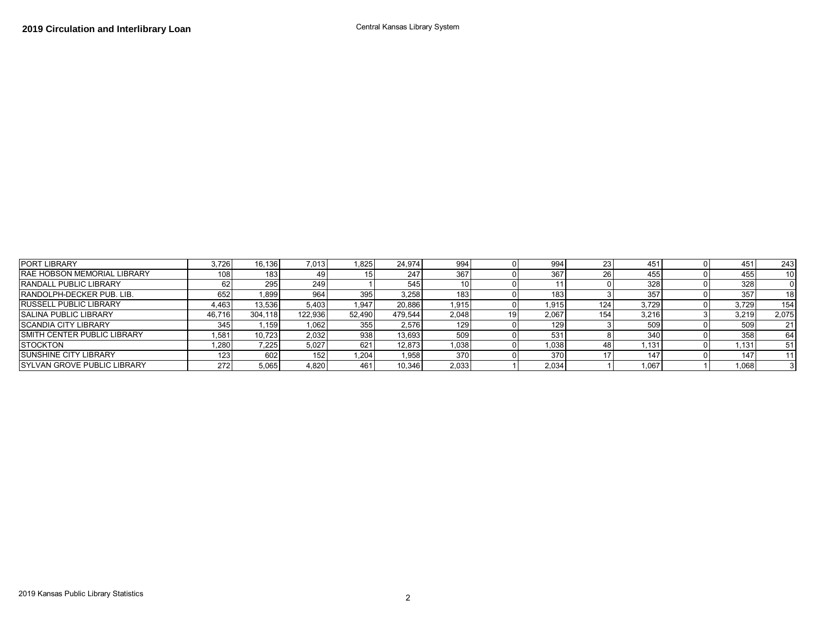| <b>PORT LIBRARY</b>                 | 3.726            | 16.136  | 7,013   | .825   | 24.974  | 994   |    | 994   |        | 451   | 451   | 243   |
|-------------------------------------|------------------|---------|---------|--------|---------|-------|----|-------|--------|-------|-------|-------|
| <b>RAE HOBSON MEMORIAL LIBRARY</b>  | 108 <sub>1</sub> | 183     |         |        | 247     | 367   |    | 367   | $\sim$ | 455   | 455   | 10    |
| <b>RANDALL PUBLIC LIBRARY</b>       | 62               | 295     | 249     |        | 545     |       |    |       |        | 328   | 328   |       |
| <b>RANDOLPH-DECKER PUB. LIB.</b>    | 652              | 1,899   | 964     | 395    | 3.258   | 183   |    | 183   |        | 357   | 357   | 18    |
| <b>RUSSELL PUBLIC LIBRARY</b>       | 4,463            | 13.536  | 5,403   | .947   | 20.886  | 1,915 |    | 1,915 | 124    | 3.729 | 3,729 | 154   |
| <b>SALINA PUBLIC LIBRARY</b>        | 46.716           | 304.118 | 122.936 | 52.490 | 479.544 | 2,048 | 10 | 2.067 | 154    | 3,216 | 3,219 | 2,075 |
| <b>SCANDIA CITY LIBRARY</b>         | 345              | .159    | 1.062   | 355    | 2.576   | 129   |    | 129   |        | 509   | 509   | 21    |
| <b>ISMITH CENTER PUBLIC LIBRARY</b> | .581             | 10.723  | 2.032   | 938    | 13.693  | 509   |    | 531   |        | 340   | 358   | 64    |
| <b>STOCKTON</b>                     | .280             | 7,225   | 5.027   | 621    | 12.873  | 1.038 |    | 1,038 |        | 1,131 | 1,131 | -51   |
| <b>SUNSHINE CITY LIBRARY</b>        | 123 <sub>1</sub> | 602     | 152     | .204   | 1,958   | 370   |    | 370   |        | 147   | 147   |       |
| <b>ISYLVAN GROVE PUBLIC LIBRARY</b> | 272              | 5,065   | 4.820   | 461    | 10.346  | 2,033 |    | 2,034 |        | 1,067 | 1,068 |       |

2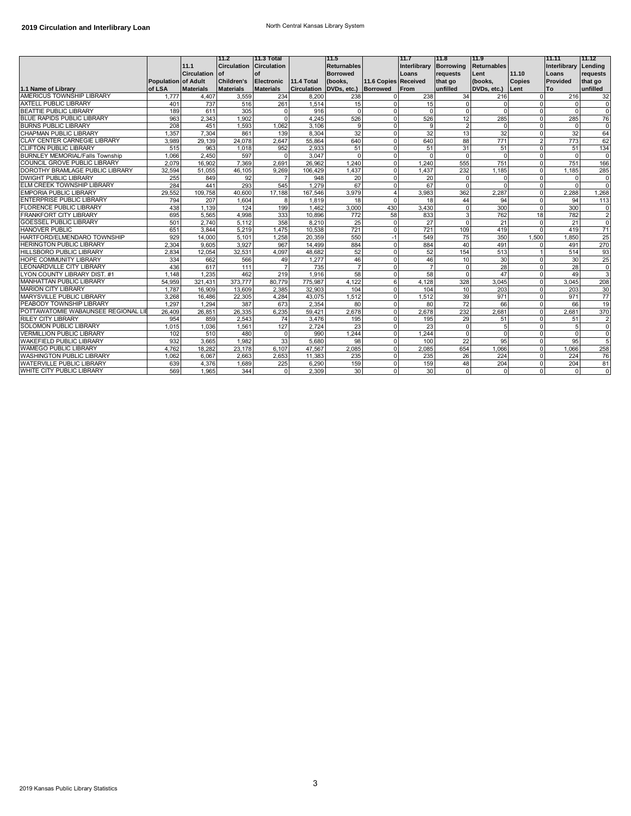|                                        |                     |                  | 11.2               | 11.3 Total            |             | 11.5                 |                      | 11.7         | 11.8           | 11.9               |                | 11.11                | 11.12          |
|----------------------------------------|---------------------|------------------|--------------------|-----------------------|-------------|----------------------|----------------------|--------------|----------------|--------------------|----------------|----------------------|----------------|
|                                        |                     | 11.1             | <b>Circulation</b> | Circulation           |             | <b>Returnables</b>   |                      | Interlibrary | Borrowing      | <b>Returnables</b> |                | Interlibrary Lending |                |
|                                        |                     | Circulation of   |                    | of                    |             | <b>Borrowed</b>      |                      | Loans        | requests       | Lent               | 11.10          | Loans                | requests       |
|                                        | Population of Adult |                  | Children's         | Electronic 11.4 Total |             | (books,              | 11.6 Copies Received |              | that go        | (books,            | <b>Copies</b>  | Provided             | that go        |
| 1.1 Name of Library                    | of LSA              | <b>Materials</b> | <b>Materials</b>   | <b>Materials</b>      | Circulation | DVDs, etc.) Borrowed |                      | From         | unfilled       | DVDs, etc.) Lent   |                | <b>To</b>            | unfilled       |
| AMERICUS TOWNSHIP LIBRARY              | 1.777               | 4,407            | 3,559              | 234                   | 8.200       | 238                  | $\Omega$             | 238          | 34             | 216                | $\Omega$       | 216                  | 32             |
| <b>AXTELL PUBLIC LIBRARY</b>           | 401                 | 737              | 516                | 261                   | 1,514       | 15                   | $\Omega$             | 15           |                | $\Omega$           | $\Omega$       | $\Omega$             | $\mathbf 0$    |
| <b>BEATTIE PUBLIC LIBRARY</b>          | 189                 | 611              | 305                | $\Omega$              | 916         | $\Omega$             | $\Omega$             | $\Omega$     | $\Omega$       | $\Omega$           | $\Omega$       | $\Omega$             | $\Omega$       |
| <b>BLUE RAPIDS PUBLIC LIBRARY</b>      | 963                 | 2,343            | 1,902              | $\Omega$              | 4,245       | 526                  | $\Omega$             | 526          | 12             | 285                | $\Omega$       | 285                  | 76             |
| <b>BURNS PUBLIC LIBRARY</b>            | 208                 | 451              | 1,593              | 1,062                 | 3,106       | 9                    | $\Omega$             | 9            | $\overline{2}$ | $\Omega$           | $\Omega$       | $\Omega$             | $\Omega$       |
| CHAPMAN PUBLIC LIBRARY                 | 1,357               | 7,304            | 861                | 139                   | 8,304       | 32                   | $\Omega$             | 32           | 13             | 32                 | $\Omega$       | 32                   | 64             |
| CLAY CENTER CARNEGIE LIBRARY           | 3,989               | 29,139           | 24,078             | 2,647                 | 55,864      | 640                  | $\Omega$             | 640          | 88             | 771                | $\overline{2}$ | 773                  | 62             |
| <b>CLIFTON PUBLIC LIBRARY</b>          | 515                 | 963              | 1,018              | 952                   | 2,933       | 51                   | $\Omega$             | 51           | 31             | 51                 | $\overline{0}$ | 51                   | 134            |
| <b>BURNLEY MEMORIAL/Falls Township</b> | 1.066               | 2.450            | 597                | $\Omega$              | 3.047       | $\Omega$             | $\Omega$             | $\Omega$     | $\Omega$       | $\Omega$           | $\Omega$       | $\Omega$             | $\Omega$       |
| COUNCIL GROVE PUBLIC LIBRARY           | 2.079               | 16.902           | 7.369              | 2.691                 | 26.962      | 1.240                | $\mathbf 0$          | 1.240        | 555            | 751                | $\mathbf{0}$   | 751                  | 166            |
| DOROTHY BRAMLAGE PUBLIC LIBRARY        | 32,594              | 51,055           | 46,105             | 9,269                 | 106,429     | 1,437                | $\Omega$             | 1,437        | 232            | 1,185              | $\mathbf{0}$   | 1,185                | 285            |
| <b>DWIGHT PUBLIC LIBRARY</b>           | 255                 | 849              | 92                 | $\overline{7}$        | 948         | 20                   | $\Omega$             | 20           | $\Omega$       | $\Omega$           | $\Omega$       | $\Omega$             | 0              |
| ELM CREEK TOWNSHIP LIBRARY             | 284                 | 441              | 293                | 545                   | 1.279       | 67                   | $\Omega$             | 67           | $\Omega$       | $\Omega$           | $\mathbf 0$    | $\Omega$             | $\mathbf 0$    |
| <b>EMPORIA PUBLIC LIBRARY</b>          | 29,552              | 109,758          | 40,600             | 17,188                | 167,546     | 3,979                | 4                    | 3,983        | 362            | 2,287              | $\mathbf{0}$   | 2,288                | 1,268          |
| ENTERPRISE PUBLIC LIBRARY              | 794                 | 207              | 1.604              | 8                     | 1.819       | 18                   | $\Omega$             | 18           | 44             | 94                 | $\mathbf 0$    | 94                   | 113            |
| <b>FLORENCE PUBLIC LIBRARY</b>         | 438                 | 1,139            | 124                | 199                   | 1,462       | 3,000                | 430                  | 3,430        | $\Omega$       | 300                | $\Omega$       | 300                  | 0              |
| FRANKFORT CITY LIBRARY                 | 695                 | 5,565            | 4,998              | 333                   | 10.896      | 772                  | 58                   | 833          | 3              | 762                | 18             | 782                  | $\overline{2}$ |
| <b>GOESSEL PUBLIC LIBRARY</b>          | 501                 | 2.740            | 5.112              | 358                   | 8.210       | 25                   | $\mathbf 0$          | 27           | $\Omega$       | 21                 | $\mathbf 0$    | 21                   | $\mathbf 0$    |
| <b>HANOVER PUBLIC</b>                  | 651                 | 3.844            | 5,219              | 1,475                 | 10,538      | 721                  | $\Omega$             | 721          | 109            | 419                | $\Omega$       | 419                  | 71             |
| HARTFORD/ELMENDARO TOWNSHIP            | 929                 | 14,000           | 5.101              | 1.258                 | 20.359      | 550                  | $-1$                 | 549          | 75             | 350                | 1.500          | 1,850                | 25             |
| <b>HERINGTON PUBLIC LIBRARY</b>        | 2.304               | 9.605            | 3.927              | 967                   | 14.499      | 884                  | $\Omega$             | 884          | 40             | 491                | $\Omega$       | 491                  | 270            |
| HILLSBORO PUBLIC LIBRARY               | 2,834               | 12,054           | 32,531             | 4,097                 | 48,682      | 52                   | $\mathbf 0$          | 52           | 154            | 513                |                | 514                  | 93             |
| <b>HOPE COMMUNITY LIBRARY</b>          | 334                 | 662              | 566                | 49                    | 1,277       | 46                   | $\Omega$             | 46           | 10             | 30                 | $\Omega$       | 30                   | 25             |
| LEONARDVILLE CITY LIBRARY              | 436                 | 617              | 111                |                       | 735         | $\overline{7}$       | $\Omega$             | 7            | $\Omega$       | 28                 | $\Omega$       | 28                   | 0              |
| LYON COUNTY LIBRARY DIST. #1           | 1.148               | 1.235            | 462                | 219                   | 1.916       | 58                   | $\Omega$             | 58           | $\Omega$       | 47                 | $\mathbf 0$    | 49                   | 3              |
| MANHATTAN PUBLIC LIBRARY               | 54.959              | 321.431          | 373.777            | 80.779                | 775.987     | 4.122                | 6                    | 4.128        | 328            | 3.045              | $\mathbf{0}$   | 3.045                | 208            |
| <b>MARION CITY LIBRARY</b>             | 1,787               | 16,909           | 13,609             | 2,385                 | 32,903      | 104                  | $\Omega$             | 104          | 10             | 203                | $\Omega$       | 203                  | 30             |
| MARYSVILLE PUBLIC LIBRARY              | 3.268               | 16.486           | 22,305             | 4.284                 | 43.075      | 1,512                | $\Omega$             | 1,512        | 39             | 971                | $\mathbf 0$    | 971                  | 77             |
| PEABODY TOWNSHIP LIBRARY               | 1,297               | 1.294            | 387                | 673                   | 2,354       | 80                   | $\Omega$             | 80           | 72             | 66                 | $\Omega$       | 66                   | 19             |
| POTTAWATOMIE WABAUNSEE REGIONAL LIE    | 26,409              | 26,851           | 26,335             | 6,235                 | 59.421      | 2.678                | $\Omega$             | 2.678        | 232            | 2,681              | $\overline{0}$ | 2.681                | 370            |
| RILEY CITY LIBRARY                     | 954                 | 859              | 2.543              | 74                    | 3.476       | 195                  | $\Omega$             | 195          | 29             | 51                 | $\Omega$       | 51                   | $\overline{2}$ |
| <b>SOLOMON PUBLIC LIBRARY</b>          | 1,015               | 1.036            | 1,561              | 127                   | 2,724       | 23                   | $\Omega$             | 23           | $\Omega$       | 5                  | $\Omega$       | 5                    | 0              |
| <b>VERMILLION PUBLIC LIBRARY</b>       | 102                 | 510              | 480                | 0                     | 990         | 1,244                | 0                    | 1.244        | $\Omega$       | $\mathbf 0$        | $\mathbf 0$    | $\mathbf 0$          | $\mathbf 0$    |
| WAKEFIELD PUBLIC LIBRARY               | 932                 | 3,665            | 1,982              | 33                    | 5,680       | 98                   | $\Omega$             | 100          | 22             | 95                 | $\mathbf 0$    | 95                   | 5              |
| <b>WAMEGO PUBLIC LIBRARY</b>           | 4.762               | 18,282           | 23,178             | 6.107                 | 47.567      | 2.085                | $\Omega$             | 2,085        | 654            | 1.066              | $\mathbf 0$    | 1.066                | 258            |
| <b>WASHINGTON PUBLIC LIBRARY</b>       | 1.062               | 6.067            | 2.663              | 2.653                 | 11.383      | 235                  | $\Omega$             | 235          | 26             | 224                | $\Omega$       | 224                  | 76             |
| WATERVILLE PUBLIC LIBRARY              | 639                 | 4,376            | 1,689              | 225                   | 6,290       | 159                  | 0                    | 159          | 48             | 204                | $\Omega$       | 204                  | 81             |
| WHITE CITY PUBLIC LIBRARY              | 569                 | 1.965            | 344                | $\mathbf 0$           | 2.309       | 30                   | $\mathbf 0$          | 30           | $\Omega$       | $\mathbf{0}$       | $\mathbf 0$    | $\mathbf 0$          | $\overline{0}$ |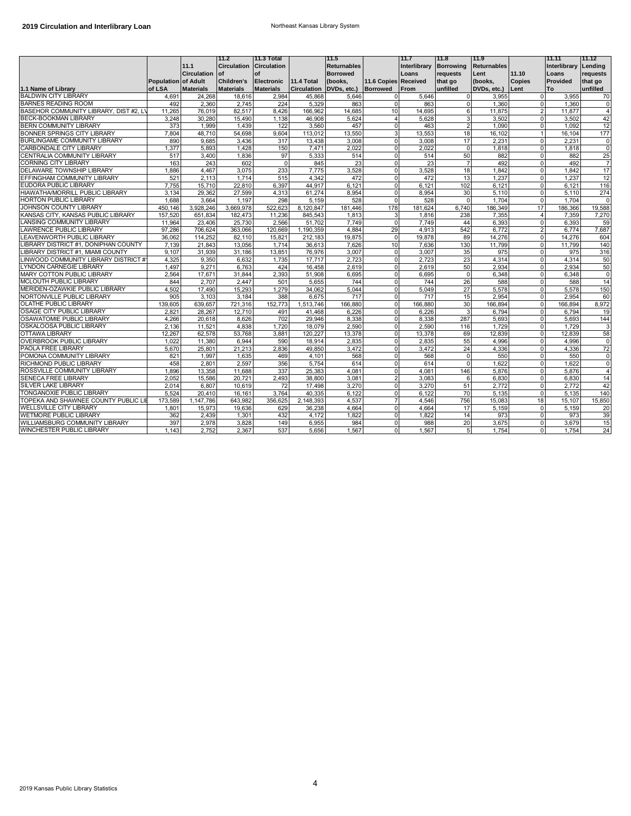|                                                                   |                            |                            | 11.2                           | 11.3 Total                |                              | 11.5                 |                               | 11.7             | 11.8                 | 11.9                 |                               | 11.11            | 11.12          |
|-------------------------------------------------------------------|----------------------------|----------------------------|--------------------------------|---------------------------|------------------------------|----------------------|-------------------------------|------------------|----------------------|----------------------|-------------------------------|------------------|----------------|
|                                                                   |                            | 11.1                       | <b>Circulation Circulation</b> |                           |                              | <b>Returnables</b>   |                               | Interlibrary     | <b>Borrowing</b>     | <b>Returnables</b>   |                               | Interlibrary     | Lending        |
|                                                                   |                            | <b>Circulation</b>         | lof                            | of                        |                              | <b>Borrowed</b>      |                               | Loans            | reauests             | Lent                 | 11.10                         | Loans            | requests       |
|                                                                   | <b>Population of Adult</b> |                            | <b>Children's</b>              | Electronic                | 11.4 Total                   | (books,              | 11.6 Copies Received          |                  | that go              | (books,              | <b>Copies</b>                 | <b>Provided</b>  | that go        |
| 1.1 Name of Library<br><b>BALDWIN CITY LIBRARY</b>                | of LSA<br>4,691            | <b>Materials</b><br>24,268 | <b>Materials</b><br>18,616     | <b>Materials</b><br>2,984 | <b>Circulation</b><br>45,868 | DVDs, etc.)<br>5,646 | Borrowed<br>0                 | From<br>5,646    | unfilled<br>$\Omega$ | DVDs, etc.)<br>3.955 | Lent<br>$\Omega$              | To<br>3,955      | unfilled<br>70 |
| <b>BARNES READING ROOM</b>                                        | 492                        | 2,360                      | 2.745                          | 224                       | 5,329                        | 863                  | $\mathbf 0$                   | 863              | $\Omega$             |                      | $\Omega$                      | 1.360            | 0              |
| BASEHOR COMMUNITY LIBRARY, DIST #2, L                             |                            | 76,019                     | 82,517                         | 8,426                     |                              |                      | 10                            | 14,695           | 6                    | 1,360                | $\overline{2}$                |                  | $\overline{4}$ |
| <b>BECK-BOOKMAN LIBRARY</b>                                       | 11,265<br>3,248            | 30.280                     | 15.490                         | 1.138                     | 166,962<br>46.908            | 14,685<br>5,624      | $\overline{4}$                | 5,628            | 3                    | 11,875<br>3,502      | $\overline{0}$                | 11,877<br>3,502  | 42             |
| <b>BERN COMMUNITY LIBRARY</b>                                     | 373                        | 1,999                      | 1,439                          | 122                       | 3,560                        | 457                  | $\mathbf 0$                   | 463              | $\overline{2}$       | 1.090                | $\Omega$                      | 1.092            | 12             |
| BONNER SPRINGS CITY LIBRARY                                       | 7.804                      | 48.710                     | 54,698                         | 9,604                     | 113,012                      | 13,550               | 3                             | 13,553           | 18                   | 16,102               | $\overline{1}$                | 16,104           | 177            |
| BURLINGAME COMMUNITY LIBRARY                                      | 890                        | 9.685                      | 3,436                          | 317                       | 13,438                       | 3.008                | $\mathbf 0$                   | 3.008            | 17                   | 2,231                | $\mathbf{0}$                  | 2,231            | $\overline{0}$ |
| CARBONDALE CITY LIBRARY                                           | 1.377                      | 5.893                      | 1.428                          | 150                       | 7.471                        | 2.022                | 0                             | 2.022            | $\Omega$             | 1.818                | $\Omega$                      | 1.818            | $\overline{0}$ |
| CENTRALIA COMMUNITY LIBRARY                                       | 517                        | 3,400                      | 1,836                          | 97                        | 5,333                        | 514                  | 0                             | 514              | 50                   | 882                  | $\mathbf 0$                   | 882              | 25             |
| CORNING CITY LIBRARY                                              | 163                        | 243                        | 602                            | $\pmb{0}$                 | 845                          | 23                   | $\Omega$                      | 23               | $\overline{7}$       | 492                  | $\mathbf 0$                   | 492              | $\overline{7}$ |
| DELAWARE TOWNSHIP LIBRARY                                         | 1.886                      | 4.467                      | 3,075                          | 233                       | 7,775                        | 3,528                | $\Omega$                      | 3,528            | 18                   | 1.842                | $\Omega$                      | 1.842            | 17             |
| EFFINGHAM COMMUNITY LIBRARY                                       | 521                        | 2,113                      | 1,714                          | 515                       | 4,342                        | 472                  | $\Omega$                      | 472              | 13                   | 1,237                | $\mathbf 0$                   | 1,237            | 12             |
| EUDORA PUBLIC LIBRARY                                             | 7,755                      | 15,710                     | 22,810                         | 6,397                     | 44,917                       | 6,121                | $\mathbf 0$                   | 6,121            | 102                  | 6,121                | $\mathbf{0}$                  | 6,121            | 116            |
| HIAWATHA/MORRILL PUBLIC LIBRARY                                   | 3.134                      | 29.362                     | 27,599                         | 4.313                     | 61,274                       | 8.954                | $\Omega$                      | 8.954            | 30                   | 5.110                | $\Omega$                      | 5.110            | 274            |
| <b>HORTON PUBLIC LIBRARY</b>                                      | 1.688                      | 3.664                      | 1.197                          | 298                       | 5.159                        | 528                  | 0                             | 528              | $\Omega$             | 1.704                | $\overline{0}$                | 1.704            | $\mathbf 0$    |
| JOHNSON COUNTY LIBRARY                                            | 450,146                    | 3,928,246                  | 3,669,978                      | 522,623                   | 8,120,847                    | 181,446              | 178                           | 181,624          | 6,740                | 186,349              | 17                            | 186,366          | 19,588         |
| KANSAS CITY, KANSAS PUBLIC LIBRARY                                | 157.520                    | 651.834                    | 182.473                        | 11.236                    | 845.543                      | 1.813                | 3                             | 1.816            | 238                  | 7.355                | $\overline{4}$                | 7.359            | 7,270          |
| <b>LANSING COMMUNITY LIBRARY</b>                                  | 11,964                     | 23,406                     | 25,730                         | 2.566                     | 51,702                       | 7,749                | 0                             | 7,749            | 44                   | 6,393                | $\mathbf 0$                   | 6,393            | 59             |
| LAWRENCE PUBLIC LIBRARY                                           | 97,286                     | 706,624                    | 363,066                        | 120,669                   | 1,190,359                    | 4,884                | 29                            | 4,913            | 542                  | 6,772                | $\overline{2}$                | 6,774            | 7,687          |
| LEAVENWORTH PUBLIC LIBRARY                                        | 36,062                     | 114,252                    | 82.110                         | 15.821                    | 212,183                      | 19,875               | $\mathbf 0$                   | 19,878           | 89                   | 14,276               | $\mathbf 0$                   | 14,276           | 604            |
| LIBRARY DISTRICT #1, DONIPHAN COUNTY                              | 7.139                      | 21,843                     | 13,056                         | 1.714                     | 36,613                       | 7.626                | 10                            | 7,636            | 130                  | 11.799               | $\Omega$                      | 11.799           | 140            |
| LIBRARY DISTRICT #1, MIAMI COUNTY                                 | 9,107                      | 31,939                     |                                | 13,851                    | 76,976                       | 3,007                | $\Omega$                      | 3,007            | 35                   | 975                  | $\Omega$                      | 975              | 316            |
| LINWOOD COMMUNITY LIBRARY DISTRICT #                              | 4,325                      | 9,350                      | 31,186<br>6.632                | 1,735                     | 17.717                       | 2.723                | $\mathbf 0$                   | 2.723            | 23                   | 4,314                | $\mathbf{0}$                  | 4,314            | 50             |
| <b>LYNDON CARNEGIE LIBRARY</b>                                    | 1.497                      | 9.271                      | 6.763                          | 424                       | 16.458                       | 2.619                | $\Omega$                      | 2.619            | 50                   | 2.934                | $\Omega$                      | 2.934            | 50             |
| MARY COTTON PUBLIC LIBRARY                                        | 2,564                      | 17,671                     | 31,844                         | 2,393                     | 51,908                       | 6,695                | 0                             | 6,695            | $\mathbf 0$          | 6,348                | $\mathbf{0}$                  | 6,348            | 0              |
| MCLOUTH PUBLIC LIBRARY                                            |                            |                            |                                |                           |                              |                      |                               |                  |                      |                      |                               |                  |                |
| MERIDEN-OZAWKIE PUBLIC LIBRARY                                    | 844<br>4.502               | 2.707                      | 2.447                          | 501<br>1.279              | 5.655                        | 744                  | $\mathbf 0$                   | 744              | 26                   | 588                  | $\mathbf 0$<br>$\mathbf{0}$   | 588<br>5.578     | 14<br>150      |
| NORTONVILLE PUBLIC LIBRARY                                        | 905                        | 17.490                     | 15,293<br>3.184                | 388                       | 34,062                       | 5.044<br>717         | 0<br>$\mathbf 0$              | 5,049<br>717     | 27                   | 5,578<br>2.954       | $\Omega$                      | 2.954            | 60             |
| OLATHE PUBLIC LIBRARY                                             |                            | 3,103                      |                                | 152,773                   | 6,675<br>1,513,746           |                      | 0                             |                  | 15<br>30             |                      |                               |                  |                |
| OSAGE CITY PUBLIC LIBRARY                                         | 139,605<br>2.821           | 639,657<br>28.267          | 721,316<br>12.710              | 491                       | 41.468                       | 166,880<br>6.226     | $\mathbf 0$                   | 166,880<br>6.226 | 3                    | 166,894<br>6.794     | $\mathbf 0$<br>$\overline{0}$ | 166,894<br>6.794 | 8,972<br>19    |
| OSAWATOMIE PUBLIC LIBRARY                                         |                            |                            |                                | 702                       | 29,946                       |                      | $\Omega$                      |                  |                      |                      | $\Omega$                      |                  |                |
| OSKALOOSA PUBLIC LIBRARY                                          | 4,266<br>2,136             | 20,618<br>11.521           | 8.626<br>4.838                 |                           |                              | 8,338                | $\mathbf 0$                   | 8,338            | 287<br>116           | 5.693<br>1.729       | $\mathbf{0}$                  | 5.693<br>1,729   | 144<br>3       |
| OTTAWA LIBRARY                                                    | 12.267                     | 62.578                     |                                | 1,720<br>3.881            | 18,079<br>120.227            | 2,590                | $\mathbf 0$                   | 2,590            |                      | 12.839               | $\mathbf{0}$                  | 12.839           | 58             |
| <b>OVERBROOK PUBLIC LIBRARY</b>                                   | 1.022                      | 11,380                     | 53,768<br>6.944                | 590                       | 18,914                       | 13,378<br>2,835      | $\mathbf 0$                   | 13,378<br>2,835  | 69<br>55             | 4.996                | $\overline{0}$                | 4,996            | $\mathbf 0$    |
| PAOLA FREE LIBRARY                                                | 5,670                      | 25,801                     |                                | 2,836                     | 49,850                       |                      | 0                             | 3,472            | 24                   | 4,336                | $\Omega$                      | 4,336            | 72             |
| POMONA COMMUNITY LIBRARY                                          | 821                        | 1.997                      | 21,213<br>1.635                | 469                       | 4.101                        | 3,472<br>568         | $\mathbf 0$                   | 568              | $\Omega$             | 550                  | $\mathbf 0$                   | 550              |                |
| RICHMOND PUBLIC LIBRARY                                           | 458                        | 2,801                      |                                | 356                       |                              | 614                  | $\Omega$                      | 614              | $\Omega$             | 1.622                | $\Omega$                      | 1.622            | 0<br>$\Omega$  |
| ROSSVILLE COMMUNITY LIBRARY                                       |                            |                            | 2,597                          |                           | 5,754                        | 4.081                | $\Omega$                      |                  |                      |                      | $\mathbf{0}$                  |                  | $\overline{4}$ |
| <b>SENECA FREE LIBRARY</b>                                        | 1,896<br>2.052             | 13,358                     | 11,688<br>20.721               | 337                       | 25,383<br>38,800             | 3.081                | $\overline{2}$                | 4,081<br>3.083   | 146<br>6             | 5,876<br>6.830       | $\mathbf{0}$                  | 5,876<br>6.830   | 14             |
| <b>SILVER LAKE LIBRARY</b>                                        | 2.014                      | 15,586<br>6.807            | 10.619                         | 2,493<br>72               | 17,498                       | 3.270                | 0                             | 3.270            | 51                   | 2.772                | $\mathbf{0}$                  | 2.772            | 42             |
|                                                                   |                            |                            |                                |                           |                              |                      |                               |                  |                      |                      |                               |                  |                |
| TONGANOXIE PUBLIC LIBRARY<br>TOPEKA AND SHAWNEE COUNTY PUBLIC LII | 5.524                      | 20.410                     | 16.161                         | 3.764                     | 40,335                       | 6.122                | $\Omega$                      | 6.122            | 70                   | 5,135                | $\mathbf 0$                   | 5,135            | 140            |
| <b>WELLSVILLE CITY LIBRARY</b>                                    | 173.589<br>1.801           | 1.147.786                  | 643.982<br>19.636              | 356.625<br>629            | 2.148.393<br>36.238          | 4.537<br>4.664       | $\overline{7}$<br>$\mathbf 0$ | 4.546<br>4.664   | 756<br>17            | 15.083               | 18<br>ō                       | 15.107           | 15.850<br>20   |
|                                                                   |                            | 15,973                     |                                |                           |                              |                      |                               |                  |                      | 5,159<br>973         | $\mathbf{0}$                  | 5,159<br>973     |                |
| WETMORE PUBLIC LIBRARY                                            | 362                        | 2,439                      | 1,301                          | 432                       | 4,172                        | 1,822                | 0                             | 1,822            | 14                   |                      | $\mathbf{0}$                  |                  | 39             |
| WILLIAMSBURG COMMUNITY LIBRARY                                    | 397                        | 2,978                      | 3,828                          | 149                       | 6,955                        | 984                  | 0                             | 988              | 20                   | 3,675                |                               | 3,679            | 15             |
| WINCHESTER PUBLIC LIBRARY                                         | 1.143                      | 2.752                      | 2,367                          | 537                       | 5.656                        | 1,567                | $\Omega$                      | 1,567            | 5 <sub>l</sub>       | 1.754                | $\Omega$                      | 1.754            | 24             |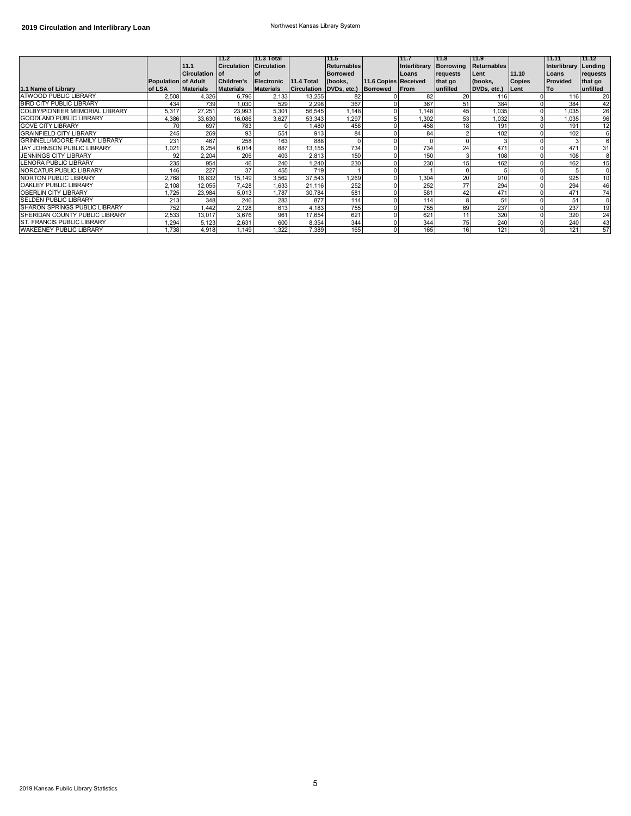|                                      |                            |                       | 111.2                   | 11.3 Total       |              | 11.5                                  |                      | 11.7         | 111.8           | 11.9        |               | 11.11                | 11.12          |
|--------------------------------------|----------------------------|-----------------------|-------------------------|------------------|--------------|---------------------------------------|----------------------|--------------|-----------------|-------------|---------------|----------------------|----------------|
|                                      |                            | 11.1                  | Circulation Circulation |                  |              | <b>Returnables</b>                    |                      | Interlibrary | Borrowing       | Returnables |               | Interlibrary Lending |                |
|                                      |                            | <b>Circulation of</b> |                         |                  |              | <b>Borrowed</b>                       |                      | Loans        | requests        | Lent        | 11.10         | Loans                | requests       |
|                                      | <b>Population of Adult</b> |                       | <b>Children's</b>       | Electronic       | $11.4$ Total | (books,                               | 11.6 Copies Received |              | that go         | (books,     | <b>Copies</b> | Provided             | that go        |
| 1.1 Name of Library                  | of LSA                     | <b>Materials</b>      | <b>Materials</b>        | <b>Materials</b> |              | Circulation DVDs, etc.) Borrowed From |                      |              | unfilled        | DVDs, etc.) | Lent          | l To                 | unfilled       |
| ATWOOD PUBLIC LIBRARY                | 2,508                      | 4,326                 | 6,796                   | 2,133            | 13,255       |                                       |                      | 82           | 20              | 116         |               | 116                  | 20             |
| <b>BIRD CITY PUBLIC LIBRARY</b>      | 434                        | 739                   | 1.030                   | 529              | 2,298        | 367                                   |                      | 367          | 51              | 384         |               | 384                  | 42             |
| COLBY/PIONEER MEMORIAL LIBRARY       | 5,317                      | 27.251                | 23,993                  | 5,301            | 56,545       | 1.148                                 |                      | .148         | 45              | 1,035       |               | 1.035                | 26             |
| <b>GOODLAND PUBLIC LIBRARY</b>       | 4,386                      | 33,630                | 16,086                  | 3,627            | 53,343       | 1,297                                 |                      | 1,302        | 53              | 1,032       |               | 1.035                | 96             |
| <b>GOVE CITY LIBRARY</b>             | 70                         | 697                   | 783                     |                  | 1,480        | 458                                   |                      | 458          | 18              | 191         |               | 191                  | 12             |
| <b>GRAINFIELD CITY LIBRARY</b>       | 245                        | 269                   | 93                      | 551              | 913          | 84                                    |                      | 84           |                 | 102         |               | 102                  | 6              |
| <b>GRINNELL/MOORE FAMILY LIBRARY</b> | 231                        | 467                   | 258                     | 163              | 888          |                                       |                      |              |                 |             |               |                      |                |
| <b>JAY JOHNSON PUBLIC LIBRARY</b>    | ,021                       | 6,254                 | 6,014                   | 887              | 13,155       | 734                                   |                      | 734          | 24              | 471         |               | 471                  | 31             |
| <b>JENNINGS CITY LIBRARY</b>         | 92                         | 2,204                 | 206                     | 403              | 2,813        | 150                                   |                      | 150          |                 | 108         |               | 108                  | $\overline{8}$ |
| <b>LENORA PUBLIC LIBRARY</b>         | 235                        | 954                   | 46                      | 240              | 1,240        | 230                                   |                      | 230          | 15 <sub>1</sub> | 162         |               | 162                  | 15             |
| NORCATUR PUBLIC LIBRARY              | 146                        | 227                   | 37                      | 455              | 719          |                                       |                      |              |                 |             |               |                      |                |
| NORTON PUBLIC LIBRARY                | 2.768                      | 18.832                | 15.149                  | 3.562            | 37.543       | 1.269                                 |                      | 1,304        | 20              | 910         |               | 925                  | 10             |
| OAKLEY PUBLIC LIBRARY                | 2.108                      | 12.055                | 7.428                   | 1,633            | 21.116       | 252                                   |                      | 252          | 77              | 294         |               | 294                  | 46             |
| <b>OBERLIN CITY LIBRARY</b>          | .725                       | 23,984                | 5,013                   | .787             | 30,784       | 581                                   |                      | 581          | 42              | 471         |               | 471                  | 74             |
| <b>SELDEN PUBLIC LIBRARY</b>         | 213                        | 348                   | 246                     | 283              | 877          | 114                                   |                      | 114          |                 | 51          |               | 51                   | $\mathbf 0$    |
| SHARON SPRINGS PUBLIC LIBRARY        | 752                        | 1,442                 | 2,128                   | 613              | 4,183        | 755                                   |                      | 755          | 69              | 237         |               | 237                  | 19             |
| SHERIDAN COUNTY PUBLIC LIBRARY       | 2,533                      | 13,017                | 3,676                   | 961              | 17,654       | 621                                   |                      | 621          | 11              | 320         |               | 320                  | 24             |
| ST. FRANCIS PUBLIC LIBRARY           | 1,294                      | 5,123                 | 2,631                   | 600              | 8,354        | 344                                   |                      | 344          | 75              | 240         |               | 240                  | 43             |
| <b>WAKEENEY PUBLIC LIBRARY</b>       | 1,738                      | 4,918                 | 1,149                   | 1,322            | 7,389        | 165                                   |                      | 165          | 16              | 121         |               | 121                  | 57             |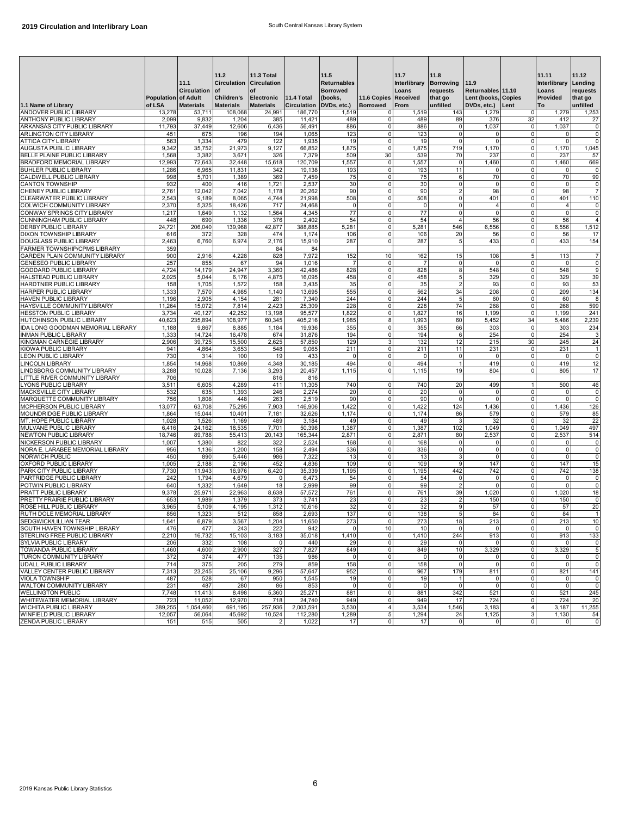| 1.1 Name of Library                                             | Population of Adult<br>of LSA | 11.1<br><b>Circulation</b><br><b>Materials</b> | 11.2<br>Circulation Circulation<br>lof<br><b>Children's</b><br><b>Materials</b> | 11.3 Total<br>of<br>Electronic 11.4 Total<br><b>Materials</b> | <b>Circulation</b> | 11.5<br><b>Returnables</b><br><b>Borrowed</b><br>(books,<br>DVDs, etc.) | 11.6 Copies Received<br><b>Borrowed</b> | 11.7<br>Interlibrary<br>Loans<br>From | 11.8<br><b>Borrowing</b><br>requests<br>that go<br>unfilled | 11.9<br>Returnables 11.10<br>Lent (books, Copies<br>DVDs, etc.) Lent |                             | 11.11<br>Interlibrary<br>Loans<br>Provided<br>To | 11.12<br>Lending<br>requests<br>that go<br>unfilled |
|-----------------------------------------------------------------|-------------------------------|------------------------------------------------|---------------------------------------------------------------------------------|---------------------------------------------------------------|--------------------|-------------------------------------------------------------------------|-----------------------------------------|---------------------------------------|-------------------------------------------------------------|----------------------------------------------------------------------|-----------------------------|--------------------------------------------------|-----------------------------------------------------|
| <b>ANDOVER PUBLIC LIBRARY</b>                                   | 13,278                        | 53,711                                         | 108,068                                                                         | 24,991                                                        | 186,770            | 1,519                                                                   | $\Omega$                                | 1,519                                 | 143                                                         | 1,279                                                                | $\mathbf 0$                 | 1,279                                            | 1,253                                               |
| <b>ANTHONY PUBLIC LIBRARY</b>                                   | 2,099                         | 9,832                                          | 1,204                                                                           | 385                                                           | 11,421             | 489                                                                     | $\mathbf 0$                             | 489                                   | 89                                                          | 376                                                                  | 32                          | 412                                              | 27                                                  |
| ARKANSAS CITY PUBLIC LIBRARY                                    | 11,793                        | 37,449                                         | 12,606                                                                          | 6,436                                                         | 56,491             | 886                                                                     | 0                                       | 886                                   | 0                                                           | 1,037                                                                | $\mathbf 0$                 | 1,037                                            | 0                                                   |
| <b>ARLINGTON CITY LIBRARY</b>                                   | 451                           | 675                                            | 196                                                                             | 194                                                           | 1,065              | 123                                                                     | $\mathbf 0$                             | 123                                   | $\mathbf 0$                                                 | $\mathbf 0$                                                          | $\mathbf{0}$                | $\mathbf 0$                                      | 0                                                   |
| ATTICA CITY LIBRARY                                             | 563                           | 1,334                                          | 479                                                                             | 122                                                           | 1,935              | 19                                                                      | $\mathbf 0$                             | 19                                    | $\overline{0}$                                              | $\mathbf 0$                                                          | $\mathbf{0}$                | $\mathbf 0$                                      | $\mathbf 0$                                         |
| AUGUSTA PUBLIC LIBRARY                                          | 9,342                         | 35,752                                         | 21,973                                                                          | 9,127                                                         | 66,852             | 1,875                                                                   | 0                                       | 1,875                                 | 719                                                         | 1,170                                                                | $\mathbf 0$                 | 1,170                                            | 1,045                                               |
| BELLE PLAINE PUBLIC LIBRARY                                     | 1,568                         | 3,382                                          | 3,671                                                                           | 326                                                           | 7,379              | 509                                                                     | 30                                      | 539                                   | 70                                                          | 237                                                                  | $\mathbf 0$                 | 237                                              | 57                                                  |
| BRADFORD MEMORIAL LIBRARY                                       | 12,993                        | 72,643                                         | 32,448                                                                          | 15,618                                                        | 120,709            | 1,557                                                                   | $\mathbf 0$                             | 1,557                                 | $\overline{0}$                                              | 1,460                                                                | $\mathbf{0}$                | 1,460                                            | 669                                                 |
| <b>BUHLER PUBLIC LIBRARY</b><br>CALDWELL PUBLIC LIBRARY         | 1,286<br>998                  | 6,965<br>5,701                                 | 11,831<br>1,389                                                                 | 342<br>369                                                    | 19,138<br>7,459    | 193<br>75                                                               | 0<br>$^{\circ}$                         | 193<br>75                             | 11                                                          | $\mathbf 0$<br>70                                                    | $\mathbf 0$<br>$\mathbf 0$  | $\mathbf 0$<br>70                                | 0<br>99                                             |
| CANTON TOWNSHIP                                                 | 932                           | 400                                            | 416                                                                             | 1,721                                                         | 2,537              | 30                                                                      | $\mathbf 0$                             | 30                                    | $\mathbf 0$                                                 | $\mathbf 0$                                                          | $\mathbf 0$                 | $\mathbf{0}$                                     | 0                                                   |
| CHENEY PUBLIC LIBRARY                                           | 2,761                         | 12,042                                         | 7,042                                                                           | 1,178                                                         | 20,262             | 90                                                                      | $\mathbf 0$                             | 90                                    |                                                             | 98                                                                   | $\mathbf 0$                 | 98                                               | $\overline{7}$                                      |
| CLEARWATER PUBLIC LIBRARY                                       | 2,543                         | 9,189                                          | 8,065                                                                           | 4,744                                                         | 21,998             | 508                                                                     | $\mathbf 0$                             | 508                                   | $\mathbf 0$                                                 | 401                                                                  | $\mathbf 0$                 | 401                                              | 110                                                 |
| <b>COLWICH COMMUNITY LIBRARY</b>                                | 2,370                         | 5,325                                          | 18,426                                                                          | 717                                                           | 24,468             | 0                                                                       | $\mathbf 0$                             | 0                                     | $\circ$                                                     | 4                                                                    | $\mathbf 0$                 | $\overline{4}$                                   | 0                                                   |
| CONWAY SPRINGS CITY LIBRARY                                     | 1,217                         | 1,649                                          | 1,132                                                                           | 1,564                                                         | 4,345              | 77                                                                      | $\mathbf 0$                             | 77                                    | $\Omega$                                                    | $\mathbf 0$                                                          | $\mathbf{0}$                | $\Omega$                                         | 0                                                   |
| CUNNINGHAM PUBLIC LIBRARY                                       | 448                           | 690                                            | 1,336                                                                           | 376                                                           | 2,402              | 54                                                                      | $\mathbf 0$                             | 54                                    |                                                             | 56                                                                   | $\mathbf 0$                 | 56                                               | $\overline{4}$                                      |
| DERBY PUBLIC LIBRARY                                            | 24,721                        | 206,040                                        | 139,968                                                                         | 42,877                                                        | 388,885            | 5,281                                                                   | 0                                       | 5,281                                 | 546                                                         | 6,556                                                                | $\mathbf 0$                 | 6,556                                            | 1,512                                               |
| DIXON TOWNSHIP LIBRARY                                          | 616                           | 372                                            | 328                                                                             | 474                                                           | 1,174              | 106                                                                     | 0                                       | 106                                   | 20                                                          | 56                                                                   | $\mathbf{0}$                | 56                                               | 17                                                  |
| DOUGLASS PUBLIC LIBRARY                                         | 2,463                         | 6,760                                          | 6,974                                                                           | 2,176                                                         | 15,910             | 287                                                                     | $\mathbf 0$                             | 287                                   |                                                             | 433                                                                  | $\mathbf{0}$                | 433                                              | 154                                                 |
| FARMER TOWNSHIP/CPMS LIBRARY                                    | 359                           |                                                |                                                                                 | 84                                                            | 84                 |                                                                         |                                         |                                       |                                                             |                                                                      |                             |                                                  |                                                     |
| GARDEN PLAIN COMMUNITY LIBRARY<br><b>GENESEO PUBLIC LIBRARY</b> | 900<br>257                    | 2,916                                          | 4,228                                                                           | 828<br>94                                                     | 7,972              | 152                                                                     | 10<br>$\mathbf 0$                       | 162                                   | 15<br>0                                                     | 108<br>$\mathbf 0$                                                   | $\sqrt{5}$<br>$\mathbf 0$   | 113<br>$\mathbf 0$                               | $\overline{7}$<br>0                                 |
| GODDARD PUBLIC LIBRARY                                          | 4,724                         | 855<br>14,179                                  | 67<br>24,947                                                                    | 3,360                                                         | 1,016<br>42,486    | 828                                                                     | 0                                       | 828                                   | 8                                                           | 548                                                                  | $\mathbf 0$                 | 548                                              | 9                                                   |
| HALSTEAD PUBLIC LIBRARY                                         | 2,025                         | 5,044                                          | 6,176                                                                           | 4,875                                                         | 16,095             | 458                                                                     | $\mathbf 0$                             | 458                                   | 5                                                           | 329                                                                  | $\mathbf{0}$                | 329                                              | 39                                                  |
| HARDTNER PUBLIC LIBRARY                                         | 158                           | 1,705                                          | 1,572                                                                           | 158                                                           | 3,435              | 35                                                                      | $\mathbf 0$                             | 35                                    | $\overline{2}$                                              | 93                                                                   | $\mathbf 0$                 | 93                                               | 53                                                  |
| HARPER PUBLIC LIBRARY                                           | 1,333                         | 7,570                                          | 4,985                                                                           | 1,140                                                         | 13,695             | 555                                                                     | $\mathbf 0$                             | 562                                   | 34                                                          | 208                                                                  | $\mathbf{0}$                | 209                                              | 134                                                 |
| HAVEN PUBLIC LIBRARY                                            | 1,196                         | 2,905                                          | 4,154                                                                           | 281                                                           | 7,340              | 244                                                                     | $\mathbf 0$                             | 244                                   | 5                                                           | 60                                                                   | $\mathbf{0}$                | 60                                               | 8                                                   |
| HAYSVILLE COMMUNITY LIBRARY                                     | 11,264                        | 15,072                                         | 7,814                                                                           | 2,423                                                         | 25,309             | 228                                                                     | $\mathbf 0$                             | 228                                   | 74                                                          | 268                                                                  | $\mathbf 0$                 | 268                                              | 599                                                 |
| <b>HESSTON PUBLIC LIBRARY</b>                                   | 3,734                         | 40,127                                         | 42,252                                                                          | 13,198                                                        | 95,577             | 1,822                                                                   | $\mathbf 0$                             | 1,827                                 | 16                                                          | 1.199                                                                | $\mathbf 0$                 | 1.199                                            | 241                                                 |
| HUTCHINSON PUBLIC LIBRARY                                       | 40,623                        | 235,894                                        | 108,977                                                                         | 60,345                                                        | 405,216            | 1,985                                                                   | 8                                       | 1,993                                 | 60                                                          | 5,452                                                                | 34                          | 5,486                                            | 2,239                                               |
| IDA LONG GOODMAN MEMORIAL LIBRARY                               | 1,188                         | 9,867                                          | 8,885                                                                           | 1,184                                                         | 19,936             | 355                                                                     | 0                                       | 355                                   | 66                                                          | 303                                                                  | $\mathbf 0$                 | 303                                              | 234                                                 |
| <b>INMAN PUBLIC LIBRARY</b>                                     | 1,333                         | 14,724                                         | 16,478                                                                          | 674                                                           | 31,876             | 194                                                                     | $\mathbf 0$                             | 194                                   | 6                                                           | 254                                                                  | $\mathbf{0}$                | 254                                              | 3                                                   |
| KINGMAN CARNEGIE LIBRARY                                        | 2,906                         | 39,725                                         | 15,500                                                                          | 2,625                                                         | 57,850             | 129                                                                     | 3                                       | 132                                   | 12                                                          | 215                                                                  | 30                          | 245                                              | 24                                                  |
| KIOWA PUBLIC LIBRARY                                            | 941                           | 4,864<br>314                                   | 3,653                                                                           | 548<br>19                                                     | 9,065              | 211<br>$\Omega$                                                         | 0<br>$\Omega$                           | 211<br>$\Omega$                       | 11<br>$\mathbf 0$                                           | 231<br>$\mathbf 0$                                                   | $\mathbf 0$<br>$\Omega$     | 231<br>$\mathbf 0$                               | $\mathbf{1}$                                        |
| <b>LEON PUBLIC LIBRARY</b><br>LINCOLN LIBRARY                   | 730<br>1,854                  | 14,968                                         | 100<br>10,869                                                                   | 4,348                                                         | 433<br>30,185      | 494                                                                     | $\mathbf 0$                             | 494                                   | -1                                                          | 419                                                                  | $\mathbf 0$                 | 419                                              | 0<br>12                                             |
| LINDSBORG COMMUNITY LIBRARY                                     | 3,288                         | 10,028                                         | 7,136                                                                           | 3,293                                                         | 20,457             | 1,115                                                                   | $\mathbf 0$                             | 1,115                                 | 19                                                          | 804                                                                  | $\mathbf 0$                 | 805                                              | 17                                                  |
| LITTLE RIVER COMMUNITY LIBRARY                                  | 706                           |                                                |                                                                                 | 816                                                           | 816                |                                                                         |                                         |                                       |                                                             |                                                                      |                             |                                                  |                                                     |
| LYONS PUBLIC LIBRARY                                            | 3,511                         | 6,605                                          | 4,289                                                                           | 411                                                           | 11,305             | 740                                                                     | $^{\circ}$                              | 740                                   | 20                                                          | 499                                                                  |                             | 500                                              | 46                                                  |
| MACKSVILLE CITY LIBRARY                                         | 532                           | 635                                            | 1,393                                                                           | 246                                                           | 2,274              | 20                                                                      | $\mathbf 0$                             | 20                                    | $\Omega$                                                    | $\Omega$                                                             | $\mathbf 0$                 | $\mathbf 0$                                      | 0                                                   |
| MARQUETTE COMMUNITY LIBRARY                                     | 756                           | 1,808                                          | 448                                                                             | 263                                                           | 2,519              | 90                                                                      | $\mathbf 0$                             | 90                                    |                                                             | $\Omega$                                                             | $\mathbf 0$                 | $\mathbf 0$                                      | $\mathbf 0$                                         |
| MCPHERSON PUBLIC LIBRARY                                        | 13,077                        | 63,708                                         | 75,295                                                                          | 7,903                                                         | 146,906            | 1,422                                                                   | $\mathbf 0$                             | 1,422                                 | 124                                                         | 1,436                                                                | $\mathbf{0}$                | 1,436                                            | 126                                                 |
| MOUNDRIDGE PUBLIC LIBRARY                                       | 1,864                         | 15,044                                         | 10,401                                                                          | 7,181                                                         | 32,626             | 1,174                                                                   | 0                                       | 1,174                                 | 86                                                          | 579                                                                  | $\mathbf{0}$                | 579                                              | 85                                                  |
| MT. HOPE PUBLIC LIBRARY                                         | 1,028                         | 1,526                                          | 1,169                                                                           | 489                                                           | 3,184              | 49                                                                      | $\mathbf 0$                             | 49                                    |                                                             | 32                                                                   | $\mathbf 0$                 | 32                                               | 22                                                  |
| MULVANE PUBLIC LIBRARY                                          | 6,416                         | 24,162                                         | 18,535                                                                          | 7,701                                                         | 50,398             | 1,387                                                                   | $\mathbf 0$                             | 1,387                                 | 102                                                         | 1,049                                                                | $\mathbf{0}$                | 1,049                                            | 497                                                 |
| NEWTON PUBLIC LIBRARY                                           | 18,746                        | 89,788                                         | 55,413                                                                          | 20,143                                                        | 165,344            | 2,871                                                                   | $\mathsf{O}\xspace$                     | 2,871                                 | 80                                                          | 2,537                                                                | $\mathbf{0}$                | 2,537                                            | 514                                                 |
| NICKERSON PUBLIC LIBRARY<br>NORA E. LARABEE MEMORIAL LIBRARY    | 1,007<br>956                  | 1,380<br>1,136                                 | 822<br>1,200                                                                    | 322<br>158                                                    | 2,524<br>2,494     | 168<br>336                                                              | $\mathbf 0$<br>$\mathbf 0$              | 168<br>336                            | $\mathbf 0$<br>$\mathbf{0}$                                 | 0<br>$\mathbf 0$                                                     | $\mathbf 0$<br>$\mathbf{0}$ | 0<br>$\mathbf 0$                                 | 0<br>0                                              |
| NORWICH PUBLIC                                                  | 450                           | 890                                            | 5,446                                                                           | 986                                                           | 7,322              | 13                                                                      | $\mathbf 0$                             | 13                                    | 3                                                           | $\Omega$                                                             | $\Omega$                    | $\Omega$                                         | 0                                                   |
| OXFORD PUBLIC LIBRARY                                           | 1,005                         | 2,188                                          | 2,196                                                                           | 452                                                           | 4,836              | 109                                                                     | $\mathbf 0$                             | 109                                   | 9                                                           | 147                                                                  | $\mathbf 0$                 | 147                                              | 15                                                  |
| PARK CITY PUBLIC LIBRARY                                        | 7,730                         | 11,943                                         | 16,976                                                                          | 6,420                                                         | 35,339             | 1,195                                                                   | $\mathbf 0$                             | 1,195                                 | 442                                                         | 742                                                                  | $\mathbf{0}$                | 742                                              | 138                                                 |
| PARTRIDGE PUBLIC LIBRARY                                        | 242                           | 1,794                                          | 4,679                                                                           | 0                                                             | 6,473              | 54                                                                      | $\mathbf 0$                             | 54                                    | $\Omega$                                                    | $\mathbf 0$                                                          | $\mathbf{0}$                | $\mathbf 0$                                      | 0                                                   |
| POTWIN PUBLIC LIBRARY                                           | 640                           | 1,332                                          | 1,649                                                                           | 18                                                            | 2,999              | 99                                                                      | $\mathbf 0$                             | 99                                    | $\overline{2}$                                              | $\Omega$                                                             | $\mathbf 0$                 | $\mathbf 0$                                      | 0                                                   |
| PRATT PUBLIC LIBRARY                                            | 9,378                         | 25,971                                         | 22,963                                                                          | 8,638                                                         | 57,572             | 761                                                                     | $\mathbf 0$                             | 761                                   | 39                                                          | 1,020                                                                | $\mathbf{0}$                | 1,020                                            | 18                                                  |
| PRETTY PRAIRIE PUBLIC LIBRARY                                   | 653                           | 1,989                                          | 1,379                                                                           | 373                                                           | 3,741              | 23                                                                      | $\mathbf 0$                             | 23                                    | 2                                                           | 150                                                                  | $\mathbf{0}$                | 150                                              | 0                                                   |
| ROSE HILL PUBLIC LIBRARY                                        | 3,965                         | 5,109                                          | 4,195                                                                           | 1,312                                                         | 10,616             | 32                                                                      | 0                                       | 32                                    | 9                                                           | 57                                                                   | $\mathbf 0$                 | 57                                               | 20                                                  |
| RUTH DOLE MEMORIAL LIBRARY                                      | 856                           | 1,323                                          | 512                                                                             | 858                                                           | 2,693              | 137                                                                     | $\mathbf 0$                             | 138                                   | $\sqrt{5}$                                                  | 84                                                                   | $\mathbf 0$                 | 84                                               | 1                                                   |
| SEDGWICK/LILLIAN TEAR                                           | 1.641                         | 6.879                                          | 3.567                                                                           | 1.204                                                         | 11.650             | 273                                                                     | $\Omega$                                | 273                                   | 18 <sup>1</sup>                                             | 213                                                                  | $\Omega$                    | 213                                              | 10                                                  |
| SOUTH HAVEN TOWNSHIP LIBRARY                                    | 476                           | 477                                            | 243                                                                             | 222                                                           | 942                | $\Omega$                                                                | 10                                      | 10                                    |                                                             | $\mathbf 0$                                                          | $\mathbf 0$<br>$\mathbf 0$  | $\mathbf 0$                                      | 0                                                   |
| STERLING FREE PUBLIC LIBRARY<br><b>SYLVIA PUBLIC LIBRARY</b>    | 2,210<br>206                  | 16,732<br>332                                  | 15,103<br>108                                                                   | 3,183<br>$\mathbf 0$                                          | 35,018<br>440      | 1,410<br>29                                                             | 0<br>$\mathbf 0$                        | 1,410<br>29                           | 244<br>$\Omega$                                             | 913<br>$\Omega$                                                      | $\mathbf 0$                 | 913<br>$\mathbf 0$                               | 133<br>0                                            |
| <b>TOWANDA PUBLIC LIBRARY</b>                                   | 1,460                         | 4,600                                          | 2,900                                                                           | 327                                                           | 7,827              | 849                                                                     | 0                                       | 849                                   | 10                                                          | 3,329                                                                | $\mathbf 0$                 | 3,329                                            | 5                                                   |
| TURON COMMUNITY LIBRARY                                         | 372                           | 374                                            | 477                                                                             | 135                                                           | 986                | 0                                                                       | $^{\circ}$                              | 0                                     | 0                                                           | 0                                                                    | $\mathbf 0$                 | $\mathbf 0$                                      | 0                                                   |
| UDALL PUBLIC LIBRARY                                            | 714                           | 375                                            | 205                                                                             | 279                                                           | 859                | 158                                                                     | $\mathbf 0$                             | 158                                   | $\circ$                                                     | 0                                                                    | $\mathbf 0$                 | $\mathbf 0$                                      | $\mathbf 0$                                         |
| VALLEY CENTER PUBLIC LIBRARY                                    | 7,313                         | 23,245                                         | 25,106                                                                          | 9,296                                                         | 57,647             | 952                                                                     | $\mathbf 0$                             | 967                                   | 179                                                         | 811                                                                  | $\mathbf{0}$                | 821                                              | 141                                                 |
| VIOLA TOWNSHIP                                                  | 487                           | 528                                            | 67                                                                              | 950                                                           | 1,545              | 19                                                                      | $\mathbf 0$                             | 19                                    |                                                             | 0                                                                    | $\mathbf{0}$                | $^{\circ}$                                       | 0                                                   |
| WALTON COMMUNITY LIBRARY                                        | 231                           | 487                                            | 280                                                                             | 86                                                            | 853                | 0                                                                       | 0                                       | $\mathbf 0$                           | $\mathbf 0$                                                 | 0                                                                    | $\mathbf 0$                 | $\mathbf 0$                                      | $\mathbf 0$                                         |
| <b>WELLINGTON PUBLIC</b>                                        | 7,748                         | 11,413                                         | 8,498                                                                           | 5,360                                                         | 25,271             | 881                                                                     | 0                                       | 881                                   | 342                                                         | 521                                                                  | $\mathbf{0}$                | 521                                              | 245                                                 |
| WHITEWATER MEMORIAL LIBRARY                                     | 723                           | 11,052                                         | 12,970                                                                          | 718                                                           | 24,740             | 949                                                                     | 0                                       | 949                                   | 17                                                          | 724                                                                  | $\mathbf{0}$                | 724                                              | 20                                                  |
| <b>WICHITA PUBLIC LIBRARY</b>                                   | 389,255                       | 1,054,460                                      | 691,195                                                                         | 257,936                                                       | 2,003,591          | 3,530                                                                   | 4                                       | 3,534                                 | 1,546                                                       | 3,183                                                                | $\overline{4}$              | 3,187                                            | 11,255                                              |
| WINFIELD PUBLIC LIBRARY                                         | 12,057                        | 56,064                                         | 45,692                                                                          | 10,524                                                        | 112,280            | 1,289                                                                   | 5                                       | 1,294                                 | 24                                                          | 1,125                                                                | $\mathbf{3}$                | 1,130                                            | 54                                                  |
| ZENDA PUBLIC LIBRARY                                            | 151                           | 515                                            | 505                                                                             | $\overline{2}$                                                | 1,022              | 17                                                                      | $\overline{0}$                          | 17                                    | $\overline{0}$                                              | 0                                                                    | $\circ$                     | $\overline{0}$                                   | $\mathbf 0$                                         |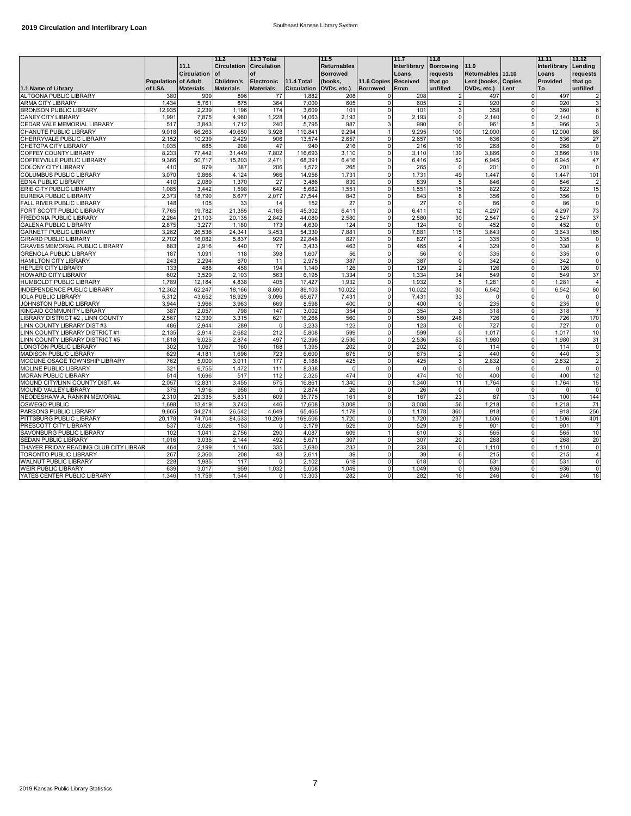|                                        |                     |                  | 11.2               | 11.3 Total         |                         | 11.5               |                      | 11.7         | 11.8             |                     |                | 11.11        | 11.12          |
|----------------------------------------|---------------------|------------------|--------------------|--------------------|-------------------------|--------------------|----------------------|--------------|------------------|---------------------|----------------|--------------|----------------|
|                                        |                     | 11.1             | <b>Circulation</b> | <b>Circulation</b> |                         | <b>Returnables</b> |                      | Interlibrary | <b>Borrowing</b> | 11.9                |                | Interlibrary | Lending        |
|                                        |                     | Circulation of   |                    | of                 |                         | <b>Borrowed</b>    |                      | Loans        | requests         | Returnables 11.10   |                | Loans        | requests       |
|                                        | Population of Adult |                  | <b>Children's</b>  | <b>Electronic</b>  | <b>11.4 Total</b>       | (books,            | 11.6 Copies Received |              | that go          | Lent (books, Copies |                | Provided     | that go        |
| 1.1 Name of Library                    | of LSA              | <b>Materials</b> | <b>Materials</b>   | <b>Materials</b>   | Circulation DVDs, etc.) |                    | <b>Borrowed</b>      | From         | unfilled         | DVDs, etc.)         | Lent           | To           | unfilled       |
| <b>ALTOONA PUBLIC LIBRARY</b>          | 380                 | 909              | 896                | 77                 | 1.882                   | 208                | $\Omega$             | 208          |                  | 497                 | $\Omega$       | 497          | $\overline{2}$ |
| <b>ARMA CITY LIBRARY</b>               | 1,434               | 5.761            | 875                | 364                | 7.000                   | 605                | $\mathbf 0$          | 605          |                  | 920                 | $\mathbf 0$    | 920          | 3              |
| <b>BRONSON PUBLIC LIBRARY</b>          | 12.935              | 2.239            | 1.196              | 174                | 3.609                   | 101                | $\mathbf 0$          | 101          | 3                | 358                 | $\mathbf 0$    | 360          | 6              |
| CANEY CITY LIBRARY                     | 1,991               | 7,875            | 4,960              | 1,228              | 14,063                  | 2,193              | $\mathbf 0$          | 2,193        | $\mathbf 0$      | 2.140               | $\mathbf 0$    | 2.140        | $\mathbf 0$    |
| CEDAR VALE MEMORIAL LIBRARY            | 517                 | 3.843            | 1.712              | 240                | 5,795                   | 987                | 3                    | 990          | $\Omega$         | 961                 | 5              | 966          | 3              |
| CHANUTE PUBLIC LIBRARY                 | 9,018               | 66,263           | 49,650             | 3,928              | 119,841                 | 9,294              |                      | 9,295        | 100              | 12,000              | $\mathbf 0$    | 12,000       | 88             |
| CHERRYVALE PUBLIC LIBRARY              | 2,152               | 10,239           | 2,429              | 906                | 13,574                  | 2,657              | $\Omega$             | 2,657        | 16               | 636                 | $\mathbf 0$    | 636          | 27             |
| CHETOPA CITY LIBRARY                   | 1,035               | 685              | 208                | 47                 | 940                     | 216                | 0                    | 216          | 10               | 268                 | $\mathbf 0$    | 268          | $\mathbf 0$    |
| COFFEY COUNTY LIBRARY                  | 8,233               | 77,442           | 31,449             | 7,802              | 116,693                 | 3,110              | $\mathbf 0$          | 3,110        | 139              | 3.866               | $\mathbf 0$    | 3.866        | 118            |
| COFFEYVILLE PUBLIC LIBRARY             | 9,366               | 50,717           | 15,203             | 2,471              | 68,391                  | 6,416              | $\Omega$             | 6,416        | 52               | 6,945               | $\mathbf 0$    | 6,945        | 47             |
| COLONY CITY LIBRARY                    | 410                 | 979              | 387                | 206                | 1,572                   | 265                | 0                    | 265          | $\overline{0}$   | 201                 | $\mathbf 0$    | 201          | $\overline{0}$ |
| COLUMBUS PUBLIC LIBRARY                | 3,070               | 9.866            | 4.124              | 966                | 14,956                  | 1,731              | $\Omega$             | 1,731        | 49               | 1.447               | $\mathbf 0$    | 1.447        | 101            |
| EDNA PUBLIC LIBRARY                    | 410                 | 2.089            | 1.370              | 27                 | 3.486                   | 839                | $\mathbf 0$          | 839          | 5                | 846                 | $\mathbf 0$    | 846          | $\overline{2}$ |
| ERIE CITY PUBLIC LIBRARY               | 1,085               | 3,442            | 1,598              | 642                | 5,682                   | 1,551              | 0                    | 1,551        | 15               | 822                 | $\mathbf 0$    | 822          | 15             |
| EUREKA PUBLIC LIBRARY                  | 2,373               | 18.790           | 6,677              | 2,077              | 27,544                  | 843                | $\Omega$             | 843          | 8                | 356                 | $\mathbf 0$    | 356          | 0              |
| FALL RIVER PUBLIC LIBRARY              | 148                 | 105              | 33                 | 14                 | 152                     | 27                 | $\Omega$             | 27           | $\Omega$         | 86                  | $\mathbf 0$    | 86           | $\Omega$       |
| FORT SCOTT PUBLIC LIBRARY              | 7,765               | 19,782           | 21,355             | 4,165              | 45,302                  | 6.411              | $\mathbf 0$          | 6.411        | 12               | 4,297               | $\mathbf 0$    | 4,297        | 73             |
| FREDONIA PUBLIC LIBRARY                | 2,264               | 21.103           | 20.135             | 2.842              | 44.080                  | 2,580              | 0                    | 2,580        | 30               | 2.547               | $\mathbf 0$    | 2.547        | 37             |
| <b>GALENA PUBLIC LIBRARY</b>           | 2,875               | 3,277            | 1.180              | 173                | 4.630                   | 124                | $\Omega$             | 124          | $\Omega$         | 452                 | $\mathbf 0$    | 452          | $\Omega$       |
| <b>GARNETT PUBLIC LIBRARY</b>          | 3,262               | 26,536           | 24,341             | 3,453              | 54,330                  | 7.881              | 0                    | 7,881        | 115              | 3.643               | $\mathbf 0$    | 3.643        | 165            |
| <b>GIRARD PUBLIC LIBRARY</b>           | 2,702               | 16,082           | 5,837              | 929                | 22,848                  | 827                | $\Omega$             | 827          | $\overline{2}$   | 335                 | $\mathbf 0$    | 335          | 0              |
| GRAVES MEMORIAL PUBLIC LIBRARY         | 883                 | 2,916            | 440                | 77                 | 3,433                   | 463                | $\mathbf 0$          | 465          | $\overline{4}$   | 329                 | $\mathbf 0$    | 330          | 6              |
| <b>GRENOLA PUBLIC LIBRARY</b>          | 187                 | 1.091            | 118                | 398                | 1,607                   | 56                 | $\Omega$             | 56           | $\Omega$         | 335                 | $\mathbf 0$    | 335          | $\mathbf 0$    |
| <b>HAMILTON CITY LIBRARY</b>           | 243                 | 2.294            | 670                | 11                 | 2.975                   | 387                | $\Omega$             | 387          | $\mathbf 0$      | 342                 | $\mathbf 0$    | 342          | $\mathbf 0$    |
| <b>HEPLER CITY LIBRARY</b>             | 133                 | 488              | 458                | 194                | 1,140                   | 126                | $\Omega$             | 129          | $\overline{2}$   | 126                 | 0              | 126          | $\mathbf 0$    |
| <b>HOWARD CITY LIBRARY</b>             | 602                 | 3,529            | 2.103              | 563                | 6,195                   | 1,334              | $\Omega$             | 1,334        | 34               | 549                 | $\mathbf 0$    | 549          | 37             |
| HUMBOLDT PUBLIC LIBRARY                | 1.789               | 12.184           | 4.838              | 405                | 17.427                  | 1.932              | $\Omega$             | 1.932        | 5                | 1.281               | 0              | 1.281        | $\overline{4}$ |
| INDEPENDENCE PUBLIC LIBRARY            | 12,362              | 62,247           | 18,166             | 8,690              | 89,103                  | 10,022             | $\mathbf 0$          | 10,022       | 30               | 6,542               | $\mathbf 0$    | 6,542        | 60             |
| <b>IOLA PUBLIC LIBRARY</b>             | 5,312               | 43.652           | 18,929             | 3,096              | 65,677                  | 7,431              | 0                    | 7,431        | 33               | $\Omega$            | $\Omega$       | $\mathbf 0$  | 0              |
| JOHNSTON PUBLIC LIBRARY                | 3.944               | 3.966            | 3,963              | 669                | 8,598                   | 400                | $\Omega$             | 400          | $\Omega$         | 235                 | $\mathbf 0$    | 235          | $\mathbf 0$    |
| KINCAID COMMUNITY LIBRARY              | 387                 | 2.057            | 798                | 147                | 3.002                   | 354                | $\Omega$             | 354          | 3                | 318                 | $\Omega$       | 318          | $\overline{7}$ |
| LIBRARY DISTRICT #2, LINN COUNTY       | 2,567               | 12,330           | 3,315              | 621                | 16,266                  | 560                | $\Omega$             | 560          | 248              | 726                 | $\mathbf 0$    | 726          | 170            |
| LINN COUNTY LIBRARY DIST #3            | 486                 | 2.944            | 289                | $\Omega$           | 3,233                   | 123                | $\Omega$             | 123          | $\Omega$         | 727                 | $\mathbf 0$    | 727          | $\mathbf 0$    |
| LINN COUNTY LIBRARY DISTRICT #1        | 2,135               | 2,914            | 2,682              | 212                | 5.808                   | 599                | $\Omega$             | 599          | $\Omega$         | 1.017               | $\Omega$       | 1.017        | 10             |
| LINN COUNTY LIBRARY DISTRICT #5        | 1.818               | 9.025            | 2.874              | 497                | 12,396                  | 2,536              | $\mathbf 0$          | 2,536        | 53               | 1.980               | $\mathbf 0$    | 1.980        | 31             |
| LONGTON PUBLIC LIBRARY                 | 302                 | 1,067            | 160                | 168                | 1,395                   | 202                | 0                    | 202          | $\mathbf 0$      | 114                 | $\mathbf 0$    | 114          | 0              |
| <b>MADISON PUBLIC LIBRARY</b>          | 629                 | 4,181            | 1,696              | 723                | 6,600                   | 675                | $\Omega$             | 675          | $\overline{2}$   | 440                 | $\mathbf 0$    | 440          | 3              |
| MCCUNE OSAGE TOWNSHIP LIBRARY          | 762                 | 5.000            | 3.011              | 177                | 8.188                   | 425                | $\Omega$             | 425          |                  | 2.832               | $\mathbf 0$    | 2.832        | $\overline{2}$ |
| MOLINE PUBLIC LIBRARY                  | 321                 | 6,755            | 1,472              | 111                | 8,338                   | $\mathbf 0$        | $\mathbf 0$          | $\mathsf 0$  | $\mathbf 0$      | $\Omega$            | $\mathsf 0$    | $\mathbf 0$  | $\mathbf 0$    |
| <b>MORAN PUBLIC LIBRARY</b>            | 514                 | 1.696            | 517                | 112                | 2,325                   | 474                | $\Omega$             | 474          | 10               | 400                 | $\Omega$       | 400          | 12             |
| MOUND CITY/LINN COUNTY DIST. #4        | 2,057               | 12,831           | 3,455              | 575                | 16,861                  | 1.340              | $\Omega$             | 1,340        | 11               | 1.764               | $\mathbf 0$    | 1.764        | 15             |
| <b>MOUND VALLEY LIBRARY</b>            | 375                 | 1.916            | 958                | $\mathbf 0$        | 2.874                   | 26                 | 0                    | 26           | $\Omega$         | $\Omega$            | $\mathbf 0$    | $\Omega$     | 0              |
| NEODESHA/W.A. RANKIN MEMORIAL          | 2,310               | 29,335           | 5,831              | 609                | 35,775                  | 161                | $\overline{6}$       | 167          | 23               | 87                  | 13             | 100          | 144            |
| OSWEGO PUBLIC                          | 1,698               | 13.419           | 3.743              | 446                | 17.608                  | 3.008              | $\Omega$             | 3.008        | 56               | 1,218               | $\mathbf 0$    | 1,218        | 71             |
| PARSONS PUBLIC LIBRARY                 | 9.665               | 34,274           | 26.542             | 4.649              | 65.465                  | 1.178              | $\Omega$             | 1.178        | 360              | 918                 | $\mathbf 0$    | 918          | 256            |
| PITTSBURG PUBLIC LIBRARY               | 20,178              | 74,704           | 84,533             | 10,269             | 169,506                 | 1,720              | 0                    | 1,720        | 237              | 1,506               | $\mathbf 0$    | 1,506        | 401            |
| PRESCOTT CITY LIBRARY                  | 537                 | 3,026            | 153                | 0                  | 3,179                   | 529                | $\Omega$             | 529          | 9                | 901                 | $\mathbf 0$    | 901          | $\overline{7}$ |
| SAVONBURG PUBLIC LIBRARY               | 102                 | 1.041            | 2,756              | 290                | 4,087                   | 609                | $\mathbf{1}$         | 610          | 3                | 565                 | $\mathbf 0$    | 565          | 10             |
| <b>SEDAN PUBLIC LIBRARY</b>            | 1,016               | 3,035            | 2.144              | 492                | 5,671                   | 307                | $\mathbf 0$          | 307          | 20               | 268                 | $\mathbf 0$    | 268          | 20             |
| THAYER FRIDAY READING CLUB CITY LIBRAR | 464                 | 2,199            | 1,146              | 335                | 3,680                   | 233                | $\mathbf 0$          | 233          | $\mathbf 0$      | 1,110               | $\mathbf 0$    | 1,110        | 0              |
| TORONTO PUBLIC LIBRARY                 | 267                 | 2,360            | 208                | 43                 | 2,611                   | 39                 | $\Omega$             | 39           | 6                | 215                 | $\mathbf 0$    | 215          | $\overline{4}$ |
| WALNUT PUBLIC LIBRARY                  | 228                 | 1,985            | 117                | $\overline{0}$     | 2,102                   | 618                | $\Omega$             | 618          | $\Omega$         | 531                 | $\overline{0}$ | 531          | $\overline{0}$ |
| WEIR PUBLIC LIBRARY                    | 639                 | 3.017            | 959                | 1.032              | 5,008                   | 1.049              | $\mathbf 0$          | 1.049        | $\Omega$         | 936                 | $\mathbf 0$    | 936          | $\mathbf 0$    |
| YATES CENTER PUBLIC LIBRARY            | 1,346               | 11,759           | 1,544              | $\mathbf 0$        | 13,303                  | 282                | $\Omega$             | 282          | 16               | 246                 | $\mathbf 0$    | 246          | 18             |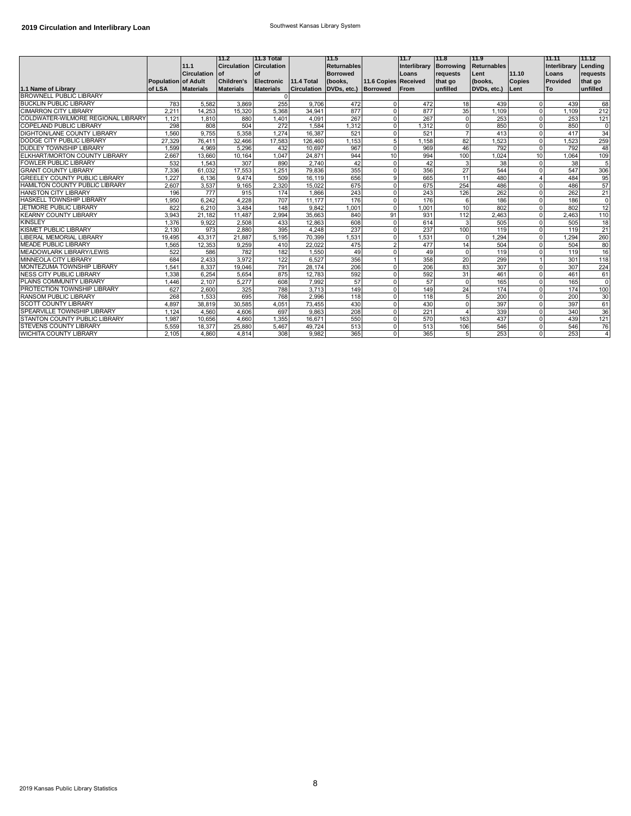|                                    |                               | 11.1<br>Circulation of | 11.2<br><b>Circulation Circulation</b> | 11.3 Total<br>of                      |                                  | 11.5<br><b>Returnables</b><br><b>Borrowed</b> |                      | 11.7<br>Interlibrary Borrowing<br>Loans | 111.8<br>requests   | 111.9<br><b>Returnables</b><br>Lent | 11.10                 | 11.11<br>Interlibrary<br>Loans | 11.12<br>Lending<br>requests |
|------------------------------------|-------------------------------|------------------------|----------------------------------------|---------------------------------------|----------------------------------|-----------------------------------------------|----------------------|-----------------------------------------|---------------------|-------------------------------------|-----------------------|--------------------------------|------------------------------|
| 1.1 Name of Library                | Population of Adult<br>of LSA | <b>Materials</b>       | <b>Children's</b><br><b>Materials</b>  | <b>Electronic</b><br><b>Materials</b> | 11.4 Total<br><b>Circulation</b> | (books,<br>DVDs, etc.) Borrowed               | 11.6 Copies Received | <b>From</b>                             | that go<br>unfilled | (books,<br>DVDs, etc.)              | <b>Copies</b><br>Lent | Provided<br>To                 | that go<br>unfilled          |
| <b>BROWNELL PUBLIC LIBRARY</b>     |                               |                        |                                        | $\Omega$                              |                                  |                                               |                      |                                         |                     |                                     |                       |                                |                              |
| <b>BUCKLIN PUBLIC LIBRARY</b>      | 783                           | 5.582                  | 3.869                                  | 255                                   | 9.706                            | 472                                           | $\Omega$             | 472                                     | 18                  | 439                                 | $\Omega$              | 439                            | 68                           |
| <b>CIMARRON CITY LIBRARY</b>       | 2.211                         | 14,253                 | 15,320                                 | 5,368                                 | 34.941                           | 877                                           | $\Omega$             | 877                                     | 35                  | 1.109                               | $\Omega$              | 1.109                          | 212                          |
| COLDWATER-WILMORE REGIONAL LIBRARY | 1,121                         | 1.810                  | 880                                    | 1,401                                 | 4,091                            | 267                                           | $\Omega$             | 267                                     | $\Omega$            | 253                                 | $\overline{0}$        | 253                            | 121                          |
| <b>COPELAND PUBLIC LIBRARY</b>     | 298                           | 808                    | 504                                    | 272                                   | 1.584                            | 1,312                                         | 0                    | 1.312                                   | $\Omega$            | 850                                 | $\overline{0}$        | 850                            | $\overline{0}$               |
| DIGHTON/LANE COUNTY LIBRARY        | 1.560                         | 9.755                  | 5,358                                  | 1.274                                 | 16,387                           | 521                                           | $\Omega$             | 521                                     | $\overline{7}$      | 413                                 | $\overline{0}$        | 417                            | 34                           |
| DODGE CITY PUBLIC LIBRARY          | 27.329                        | 76.411                 | 32.466                                 | 17.583                                | 126,460                          | 1.153                                         | 5                    | 1.158                                   | 82                  | 1.523                               | $\mathbf 0$           | .523                           | 259                          |
| DUDLEY TOWNSHIP LIBRARY            | 1.599                         | 4.969                  | 5,296                                  | 432                                   | 10.697                           | 967                                           | $\Omega$             | 969                                     | 46                  | 792                                 | $\overline{0}$        | 792                            | 48                           |
| ELKHART/MORTON COUNTY LIBRARY      | 2.667                         | 13,660                 | 10.164                                 | 1.047                                 | 24,871                           | 944                                           | 10                   | 994                                     | 100                 | 1.024                               | 10                    | 1.064                          | 109                          |
| <b>FOWLER PUBLIC LIBRARY</b>       | 532                           | 1.543                  | 307                                    | 890                                   | 2,740                            | 42                                            | $\Omega$             | 42                                      | 3                   | 38                                  | $\Omega$              | 38                             | 5                            |
| <b>GRANT COUNTY LIBRARY</b>        | 7,336                         | 61,032                 | 17,553                                 | 1,251                                 | 79,836                           | 355                                           | $\Omega$             | 356                                     | 27                  | 544                                 | $\Omega$              | 547                            | 306                          |
| GREELEY COUNTY PUBLIC LIBRARY      | 1.227                         | 6.136                  | 9.474                                  | 509                                   | 16,119                           | 656                                           | 9                    | 665                                     | 11                  | 480                                 | $\Delta$              | 484                            | 95                           |
| HAMILTON COUNTY PUBLIC LIBRARY     | 2,607                         | 3,537                  | 9,165                                  | 2,320                                 | 15.022                           | 675                                           | $\Omega$             | 675                                     | 254                 | 486                                 | $\Omega$              | 486                            | 57                           |
| <b>HANSTON CITY LIBRARY</b>        | 196                           | 777                    | 915                                    | 174                                   | 1,866                            | 243                                           | $\Omega$             | 243                                     | 126                 | 262                                 | $\Omega$              | 262                            | 21                           |
| HASKELL TOWNSHIP LIBRARY           | 1,950                         | 6.242                  | 4,228                                  | 707                                   | 11.177                           | 176                                           | $\Omega$             | 176                                     | 6                   | 186                                 | $\Omega$              | 186                            | $\Omega$                     |
| <b>JETMORE PUBLIC LIBRARY</b>      | 822                           | 6.210                  | 3.484                                  | 148                                   | 9.842                            | 1.001                                         | $\Omega$             | 1.001                                   | 10                  | 802                                 | $\Omega$              | 802                            | 12                           |
| <b>KEARNY COUNTY LIBRARY</b>       | 3.943                         | 21,182                 | 11.487                                 | 2.994                                 | 35,663                           | 840                                           | 91                   | 931                                     | 112                 | 2.463                               | $\Omega$              | 2.463                          | 110                          |
| <b>KINSLEY</b>                     | 1,376                         | 9.922                  | 2,508                                  | 433                                   | 12.863                           | 608                                           | $\Omega$             | 614                                     | 3                   | 505                                 | $\Omega$              | 505                            | 18                           |
| KISMET PUBLIC LIBRARY              | 2.130                         | 973                    | 2.880                                  | 395                                   | 4.248                            | 237                                           | $\Omega$             | 237                                     | 100                 | 119                                 | $\Omega$              | 119                            | 21                           |
| LIBERAL MEMORIAL LIBRARY           | 19.495                        | 43.317                 | 21.887                                 | 5.195                                 | 70.399                           | 1.531                                         | 0                    | 1.531                                   | $\Omega$            | 1.294                               | $\mathbf 0$           | .294                           | 260                          |
| <b>MEADE PUBLIC LIBRARY</b>        | 1.565                         | 12.353                 | 9.259                                  | 410                                   | 22.022                           | 475                                           | $\overline{2}$       | 477                                     | 14                  | 504                                 | $\Omega$              | 504                            | 80                           |
| MEADOWLARK LIBRARY/LEWIS           | 522                           | 586                    | 782                                    | 182                                   | 1.550                            | 49                                            | $\Omega$             | 49                                      | $\Omega$            | 119                                 | $\Omega$              | 119                            | 16                           |
| MINNEOLA CITY LIBRARY              | 684                           | 2.433                  | 3.972                                  | 122                                   | 6,527                            | 356                                           |                      | 358                                     | 20                  | 299                                 |                       | 301                            | 118                          |
| MONTEZUMA TOWNSHIP LIBRARY         | 1.54 <sup>°</sup>             | 8.337                  | 19.046                                 | 791                                   | 28.174                           | 206                                           | $\Omega$             | 206                                     | 83                  | 307                                 | $\Omega$              | 307                            | 224                          |
| NESS CITY PUBLIC LIBRARY           | 1.338                         | 6,254                  | 5,654                                  | 875                                   | 12,783                           | 592                                           | $\Omega$             | 592                                     | 31                  | 461                                 | $\Omega$              | 461                            | 61                           |
| PLAINS COMMUNITY LIBRARY           | 1.446                         | 2.107                  | 5.277                                  | 608                                   | 7.992                            | 57                                            | $\Omega$             | 57                                      | $\Omega$            | 165                                 | $\Omega$              | 165                            | $\Omega$                     |
| PROTECTION TOWNSHIP LIBRARY        | 627                           | 2.600                  | 325                                    | 788                                   | 3.713                            | 149                                           | $\Omega$             | 149                                     | 24                  | 174                                 | $\Omega$              | 174                            | 100                          |
| RANSOM PUBLIC LIBRARY              | 268                           | 1.533                  | 695                                    | 768                                   | 2.996                            | 118                                           | $\Omega$             | 118                                     | 5                   | 200                                 | $\Omega$              | 200                            | 30                           |
| <b>SCOTT COUNTY LIBRARY</b>        | 4.897                         | 38,819                 | 30,585                                 | 4,051                                 | 73,455                           | 430                                           | $\Omega$             | 430                                     | $\Omega$            | 397                                 | $\mathbf 0$           | 397                            | 61                           |
| SPEARVILLE TOWNSHIP LIBRARY        | 1.124                         | 4.560                  | 4,606                                  | 697                                   | 9,863                            | 208                                           | $\Omega$             | 221                                     | $\Delta$            | 339                                 | $\Omega$              | 340                            | 36                           |
| STANTON COUNTY PUBLIC LIBRARY      | 1.987                         | 10.656                 | 4.660                                  | 1.355                                 | 16.671                           | 550                                           | $\Omega$             | 570                                     | 163                 | 437                                 | $\Omega$              | 439                            | 121                          |
| <b>STEVENS COUNTY LIBRARY</b>      | 5,559                         | 18,377                 | 25,880                                 | 5,467                                 | 49.724                           | 513                                           | $\Omega$             | 513                                     | 106                 | 546                                 | 0                     | 546                            | 76                           |
| WICHITA COUNTY LIBRARY             | 2.105                         | 4.860                  | 4.814                                  | 308                                   | 9.982                            | 365                                           | $\Omega$             | 365                                     | 5 <sub>1</sub>      | 253                                 | $\Omega$              | 253                            | $\overline{4}$               |